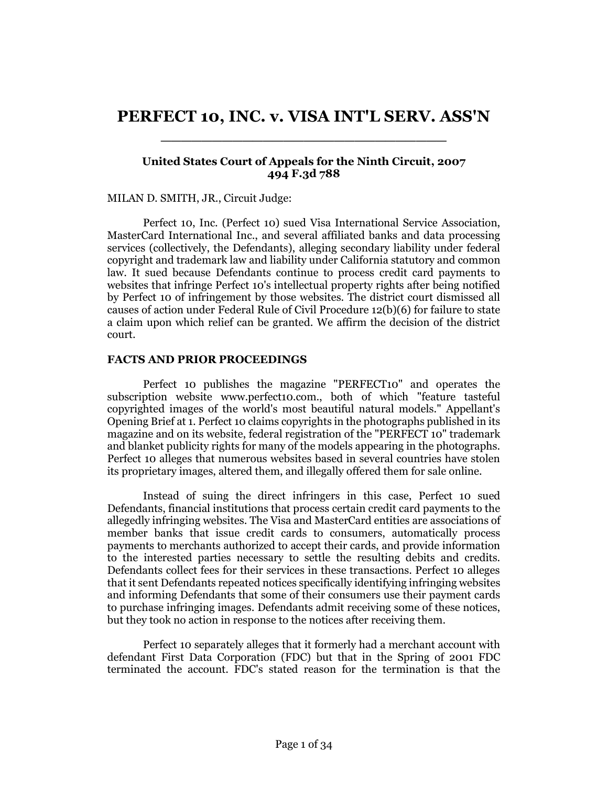# **PERFECT 10, INC. v. VISA INT'L SERV. ASS'N** \_\_\_\_\_\_\_\_\_\_\_\_\_\_\_\_\_\_\_\_\_\_\_\_\_\_\_\_

# **United States Court of Appeals for the Ninth Circuit, 2007 494 F.3d 788**

## MILAN D. SMITH, JR., Circuit Judge:

Perfect 10, Inc. (Perfect 10) sued Visa International Service Association, MasterCard International Inc., and several affiliated banks and data processing services (collectively, the Defendants), alleging secondary liability under federal copyright and trademark law and liability under California statutory and common law. It sued because Defendants continue to process credit card payments to websites that infringe Perfect 10's intellectual property rights after being notified by Perfect 10 of infringement by those websites. The district court dismissed all causes of action under Federal Rule of Civil Procedure 12(b)(6) for failure to state a claim upon which relief can be granted. We affirm the decision of the district court.

## **FACTS AND PRIOR PROCEEDINGS**

Perfect 10 publishes the magazine "PERFECT10" and operates the subscription website www.perfect10.com., both of which "feature tasteful copyrighted images of the world's most beautiful natural models." Appellant's Opening Brief at 1. Perfect 10 claims copyrights in the photographs published in its magazine and on its website, federal registration of the "PERFECT 10" trademark and blanket publicity rights for many of the models appearing in the photographs. Perfect 10 alleges that numerous websites based in several countries have stolen its proprietary images, altered them, and illegally offered them for sale online.

Instead of suing the direct infringers in this case, Perfect 10 sued Defendants, financial institutions that process certain credit card payments to the allegedly infringing websites. The Visa and MasterCard entities are associations of member banks that issue credit cards to consumers, automatically process payments to merchants authorized to accept their cards, and provide information to the interested parties necessary to settle the resulting debits and credits. Defendants collect fees for their services in these transactions. Perfect 10 alleges that it sent Defendants repeated notices specifically identifying infringing websites and informing Defendants that some of their consumers use their payment cards to purchase infringing images. Defendants admit receiving some of these notices, but they took no action in response to the notices after receiving them.

Perfect 10 separately alleges that it formerly had a merchant account with defendant First Data Corporation (FDC) but that in the Spring of 2001 FDC terminated the account. FDC's stated reason for the termination is that the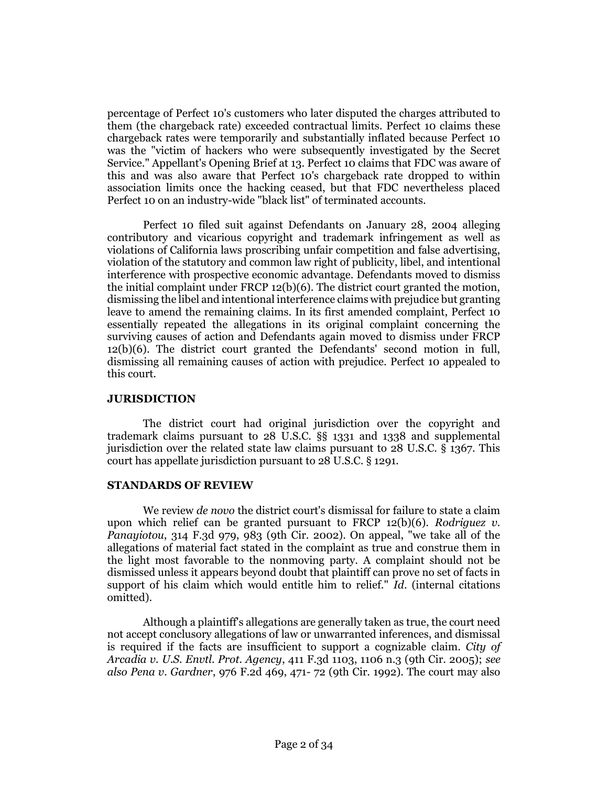percentage of Perfect 10's customers who later disputed the charges attributed to them (the chargeback rate) exceeded contractual limits. Perfect 10 claims these chargeback rates were temporarily and substantially inflated because Perfect 10 was the "victim of hackers who were subsequently investigated by the Secret Service." Appellant's Opening Brief at 13. Perfect 10 claims that FDC was aware of this and was also aware that Perfect 10's chargeback rate dropped to within association limits once the hacking ceased, but that FDC nevertheless placed Perfect 10 on an industry-wide "black list" of terminated accounts.

Perfect 10 filed suit against Defendants on January 28, 2004 alleging contributory and vicarious copyright and trademark infringement as well as violations of California laws proscribing unfair competition and false advertising, violation of the statutory and common law right of publicity, libel, and intentional interference with prospective economic advantage. Defendants moved to dismiss the initial complaint under FRCP 12(b)(6). The district court granted the motion, dismissing the libel and intentional interference claims with prejudice but granting leave to amend the remaining claims. In its first amended complaint, Perfect 10 essentially repeated the allegations in its original complaint concerning the surviving causes of action and Defendants again moved to dismiss under FRCP 12(b)(6). The district court granted the Defendants' second motion in full, dismissing all remaining causes of action with prejudice. Perfect 10 appealed to this court.

## **JURISDICTION**

The district court had original jurisdiction over the copyright and trademark claims pursuant to 28 U.S.C. §§ 1331 and 1338 and supplemental jurisdiction over the related state law claims pursuant to 28 U.S.C. § 1367. This court has appellate jurisdiction pursuant to 28 U.S.C. § 1291.

## **STANDARDS OF REVIEW**

We review *de novo* the district court's dismissal for failure to state a claim upon which relief can be granted pursuant to FRCP 12(b)(6). *Rodriguez v. Panayiotou*, 314 F.3d 979, 983 (9th Cir. 2002). On appeal, "we take all of the allegations of material fact stated in the complaint as true and construe them in the light most favorable to the nonmoving party. A complaint should not be dismissed unless it appears beyond doubt that plaintiff can prove no set of facts in support of his claim which would entitle him to relief." *Id*. (internal citations omitted).

Although a plaintiff's allegations are generally taken as true, the court need not accept conclusory allegations of law or unwarranted inferences, and dismissal is required if the facts are insufficient to support a cognizable claim. *City of Arcadia v. U.S. Envtl. Prot. Agency*, 411 F.3d 1103, 1106 n.3 (9th Cir. 2005); *see also Pena v. Gardner*, 976 F.2d 469, 471- 72 (9th Cir. 1992). The court may also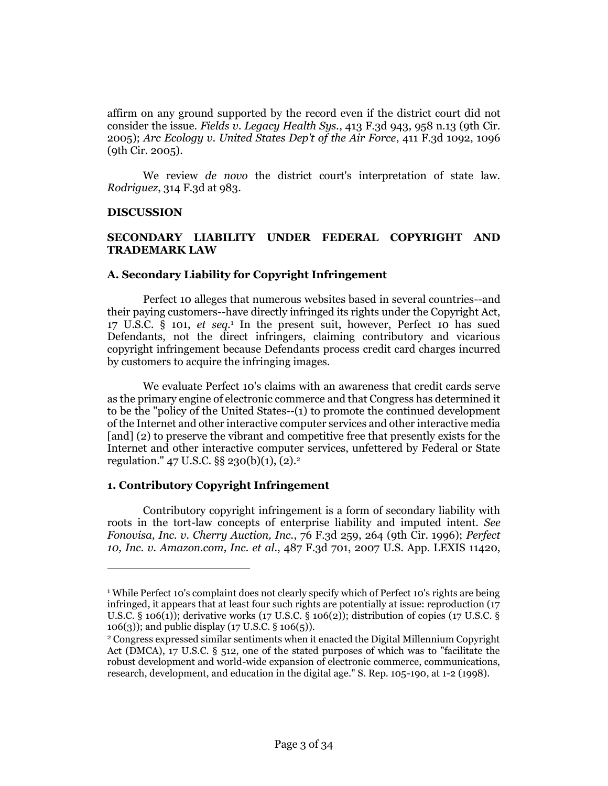affirm on any ground supported by the record even if the district court did not consider the issue. *Fields v. Legacy Health Sys.*, 413 F.3d 943, 958 n.13 (9th Cir. 2005); *Arc Ecology v. United States Dep't of the Air Force*, 411 F.3d 1092, 1096 (9th Cir. 2005).

We review *de novo* the district court's interpretation of state law. *Rodriguez*, 314 F.3d at 983.

## **DISCUSSION**

 $\overline{a}$ 

# **SECONDARY LIABILITY UNDER FEDERAL COPYRIGHT AND TRADEMARK LAW**

## **A. Secondary Liability for Copyright Infringement**

Perfect 10 alleges that numerous websites based in several countries--and their paying customers--have directly infringed its rights under the Copyright Act, 17 U.S.C. § 101, *et seq.*<sup>1</sup> In the present suit, however, Perfect 10 has sued Defendants, not the direct infringers, claiming contributory and vicarious copyright infringement because Defendants process credit card charges incurred by customers to acquire the infringing images.

We evaluate Perfect 10's claims with an awareness that credit cards serve as the primary engine of electronic commerce and that Congress has determined it to be the "policy of the United States--(1) to promote the continued development of the Internet and other interactive computer services and other interactive media [and] (2) to preserve the vibrant and competitive free that presently exists for the Internet and other interactive computer services, unfettered by Federal or State regulation." 47 U.S.C.  $\S$ § 230(b)(1), (2).<sup>2</sup>

## **1. Contributory Copyright Infringement**

Contributory copyright infringement is a form of secondary liability with roots in the tort-law concepts of enterprise liability and imputed intent. *See Fonovisa, Inc. v. Cherry Auction, Inc.*, 76 F.3d 259, 264 (9th Cir. 1996); *Perfect 10, Inc. v. Amazon.com, Inc. et al.*, 487 F.3d 701, 2007 U.S. App. LEXIS 11420,

<sup>1</sup> While Perfect 10's complaint does not clearly specify which of Perfect 10's rights are being infringed, it appears that at least four such rights are potentially at issue: reproduction (17 U.S.C. § 106(1)); derivative works (17 U.S.C. § 106(2)); distribution of copies (17 U.S.C. § 106(3)); and public display (17 U.S.C. § 106(5)).

<sup>2</sup> Congress expressed similar sentiments when it enacted the Digital Millennium Copyright Act (DMCA), 17 U.S.C. § 512, one of the stated purposes of which was to "facilitate the robust development and world-wide expansion of electronic commerce, communications, research, development, and education in the digital age." S. Rep. 105-190, at 1-2 (1998).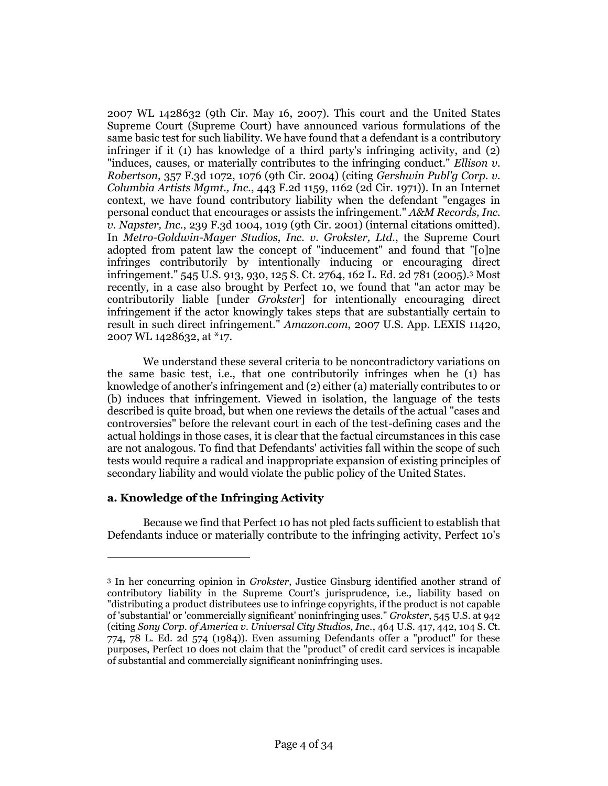2007 WL 1428632 (9th Cir. May 16, 2007). This court and the United States Supreme Court (Supreme Court) have announced various formulations of the same basic test for such liability. We have found that a defendant is a contributory infringer if it (1) has knowledge of a third party's infringing activity, and (2) "induces, causes, or materially contributes to the infringing conduct." *Ellison v. Robertson*, 357 F.3d 1072, 1076 (9th Cir. 2004) (citing *Gershwin Publ'g Corp. v. Columbia Artists Mgmt., Inc.*, 443 F.2d 1159, 1162 (2d Cir. 1971)). In an Internet context, we have found contributory liability when the defendant "engages in personal conduct that encourages or assists the infringement." *A&M Records, Inc. v. Napster, Inc.*, 239 F.3d 1004, 1019 (9th Cir. 2001) (internal citations omitted). In *Metro-Goldwin-Mayer Studios, Inc. v. Grokster, Ltd.*, the Supreme Court adopted from patent law the concept of "inducement" and found that "[o]ne infringes contributorily by intentionally inducing or encouraging direct infringement." 545 U.S. 913, 930, 125 S. Ct. 2764, 162 L. Ed. 2d 781 (2005).<sup>3</sup> Most recently, in a case also brought by Perfect 10, we found that "an actor may be contributorily liable [under *Grokster*] for intentionally encouraging direct infringement if the actor knowingly takes steps that are substantially certain to result in such direct infringement." *Amazon.com*, 2007 U.S. App. LEXIS 11420, 2007 WL 1428632, at \*17.

We understand these several criteria to be noncontradictory variations on the same basic test, i.e., that one contributorily infringes when he (1) has knowledge of another's infringement and (2) either (a) materially contributes to or (b) induces that infringement. Viewed in isolation, the language of the tests described is quite broad, but when one reviews the details of the actual "cases and controversies" before the relevant court in each of the test-defining cases and the actual holdings in those cases, it is clear that the factual circumstances in this case are not analogous. To find that Defendants' activities fall within the scope of such tests would require a radical and inappropriate expansion of existing principles of secondary liability and would violate the public policy of the United States.

# **a. Knowledge of the Infringing Activity**

 $\overline{a}$ 

Because we find that Perfect 10 has not pled facts sufficient to establish that Defendants induce or materially contribute to the infringing activity, Perfect 10's

<sup>3</sup> In her concurring opinion in *Grokster*, Justice Ginsburg identified another strand of contributory liability in the Supreme Court's jurisprudence, i.e., liability based on "distributing a product distributees use to infringe copyrights, if the product is not capable of 'substantial' or 'commercially significant' noninfringing uses." *Grokster*, 545 U.S. at 942 (citing *Sony Corp. of America v. Universal City Studios, Inc.*, 464 U.S. 417, 442, 104 S. Ct. 774, 78 L. Ed. 2d 574 (1984)). Even assuming Defendants offer a "product" for these purposes, Perfect 10 does not claim that the "product" of credit card services is incapable of substantial and commercially significant noninfringing uses.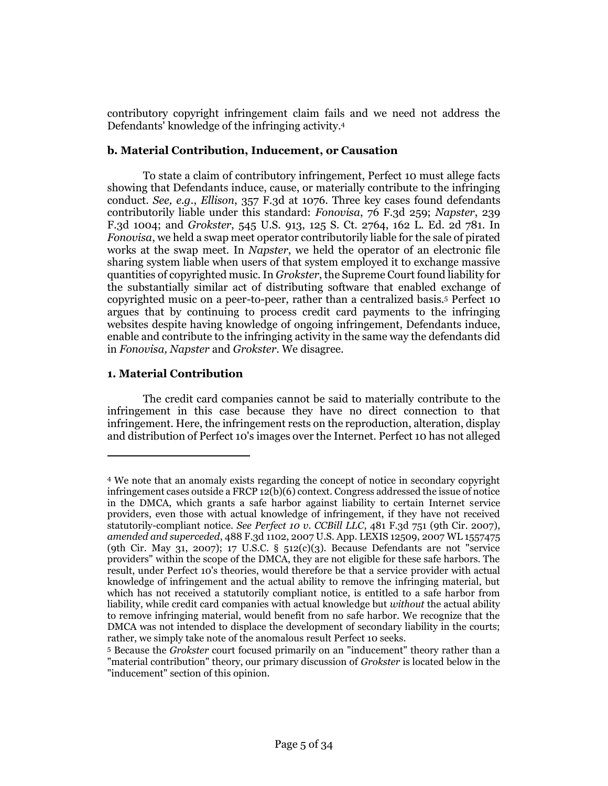contributory copyright infringement claim fails and we need not address the Defendants' knowledge of the infringing activity.<sup>4</sup>

# **b. Material Contribution, Inducement, or Causation**

To state a claim of contributory infringement, Perfect 10 must allege facts showing that Defendants induce, cause, or materially contribute to the infringing conduct. *See, e.g.*, *Ellison*, 357 F.3d at 1076. Three key cases found defendants contributorily liable under this standard: *Fonovisa*, 76 F.3d 259; *Napster*, 239 F.3d 1004; and *Grokster*, 545 U.S. 913, 125 S. Ct. 2764, 162 L. Ed. 2d 781. In *Fonovisa*, we held a swap meet operator contributorily liable for the sale of pirated works at the swap meet. In *Napster*, we held the operator of an electronic file sharing system liable when users of that system employed it to exchange massive quantities of copyrighted music. In *Grokster*, the Supreme Court found liability for the substantially similar act of distributing software that enabled exchange of copyrighted music on a peer-to-peer, rather than a centralized basis.<sup>5</sup> Perfect 10 argues that by continuing to process credit card payments to the infringing websites despite having knowledge of ongoing infringement, Defendants induce, enable and contribute to the infringing activity in the same way the defendants did in *Fonovisa, Napster* and *Grokster*. We disagree.

# **1. Material Contribution**

 $\overline{a}$ 

The credit card companies cannot be said to materially contribute to the infringement in this case because they have no direct connection to that infringement. Here, the infringement rests on the reproduction, alteration, display and distribution of Perfect 10's images over the Internet. Perfect 10 has not alleged

<sup>4</sup> We note that an anomaly exists regarding the concept of notice in secondary copyright infringement cases outside a FRCP 12(b)(6) context. Congress addressed the issue of notice in the DMCA, which grants a safe harbor against liability to certain Internet service providers, even those with actual knowledge of infringement, if they have not received statutorily-compliant notice. *See Perfect 10 v. CCBill LLC*, 481 F.3d 751 (9th Cir. 2007), *amended and superceded*, 488 F.3d 1102, 2007 U.S. App. LEXIS 12509, 2007 WL 1557475 (9th Cir. May 31, 2007); 17 U.S.C. § 512(c)(3). Because Defendants are not "service providers" within the scope of the DMCA, they are not eligible for these safe harbors. The result, under Perfect 10's theories, would therefore be that a service provider with actual knowledge of infringement and the actual ability to remove the infringing material, but which has not received a statutorily compliant notice, is entitled to a safe harbor from liability, while credit card companies with actual knowledge but *without* the actual ability to remove infringing material, would benefit from no safe harbor. We recognize that the DMCA was not intended to displace the development of secondary liability in the courts; rather, we simply take note of the anomalous result Perfect 10 seeks.

<sup>5</sup> Because the *Grokster* court focused primarily on an "inducement" theory rather than a "material contribution" theory, our primary discussion of *Grokster* is located below in the "inducement" section of this opinion.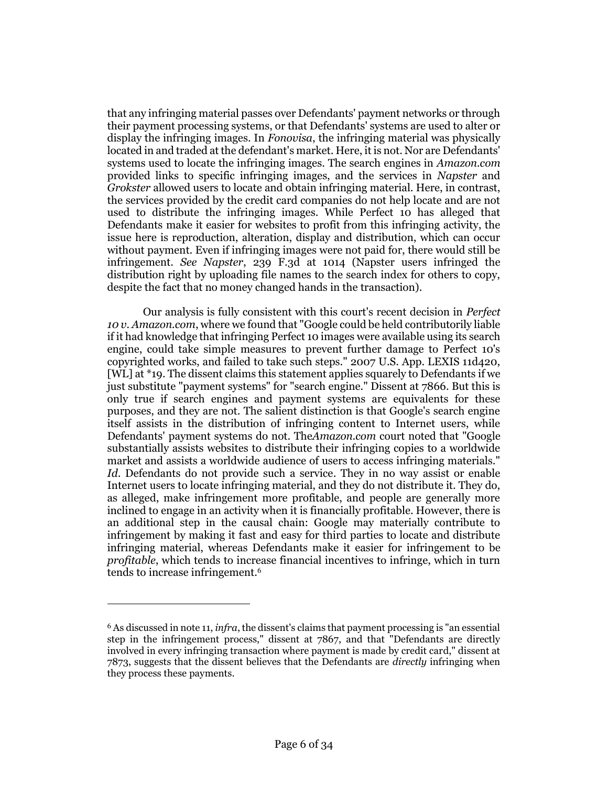that any infringing material passes over Defendants' payment networks or through their payment processing systems, or that Defendants' systems are used to alter or display the infringing images. In *Fonovisa*, the infringing material was physically located in and traded at the defendant's market. Here, it is not. Nor are Defendants' systems used to locate the infringing images. The search engines in *Amazon.com* provided links to specific infringing images, and the services in *Napster* and *Grokster* allowed users to locate and obtain infringing material. Here, in contrast, the services provided by the credit card companies do not help locate and are not used to distribute the infringing images. While Perfect 10 has alleged that Defendants make it easier for websites to profit from this infringing activity, the issue here is reproduction, alteration, display and distribution, which can occur without payment. Even if infringing images were not paid for, there would still be infringement. *See Napster*, 239 F.3d at 1014 (Napster users infringed the distribution right by uploading file names to the search index for others to copy, despite the fact that no money changed hands in the transaction).

Our analysis is fully consistent with this court's recent decision in *Perfect 10 v. Amazon.com*, where we found that "Google could be held contributorily liable if it had knowledge that infringing Perfect 10 images were available using its search engine, could take simple measures to prevent further damage to Perfect 10's copyrighted works, and failed to take such steps." 2007 U.S. App. LEXIS 11d420, [WL] at \*19. The dissent claims this statement applies squarely to Defendants if we just substitute "payment systems" for "search engine." Dissent at 7866. But this is only true if search engines and payment systems are equivalents for these purposes, and they are not. The salient distinction is that Google's search engine itself assists in the distribution of infringing content to Internet users, while Defendants' payment systems do not. The*Amazon.com* court noted that "Google substantially assists websites to distribute their infringing copies to a worldwide market and assists a worldwide audience of users to access infringing materials." *Id*. Defendants do not provide such a service. They in no way assist or enable Internet users to locate infringing material, and they do not distribute it. They do, as alleged, make infringement more profitable, and people are generally more inclined to engage in an activity when it is financially profitable. However, there is an additional step in the causal chain: Google may materially contribute to infringement by making it fast and easy for third parties to locate and distribute infringing material, whereas Defendants make it easier for infringement to be *profitable*, which tends to increase financial incentives to infringe, which in turn tends to increase infringement.<sup>6</sup>

<sup>6</sup> As discussed in note 11, *infra*, the dissent's claims that payment processing is "an essential step in the infringement process," dissent at 7867, and that "Defendants are directly involved in every infringing transaction where payment is made by credit card," dissent at 7873, suggests that the dissent believes that the Defendants are *directly* infringing when they process these payments.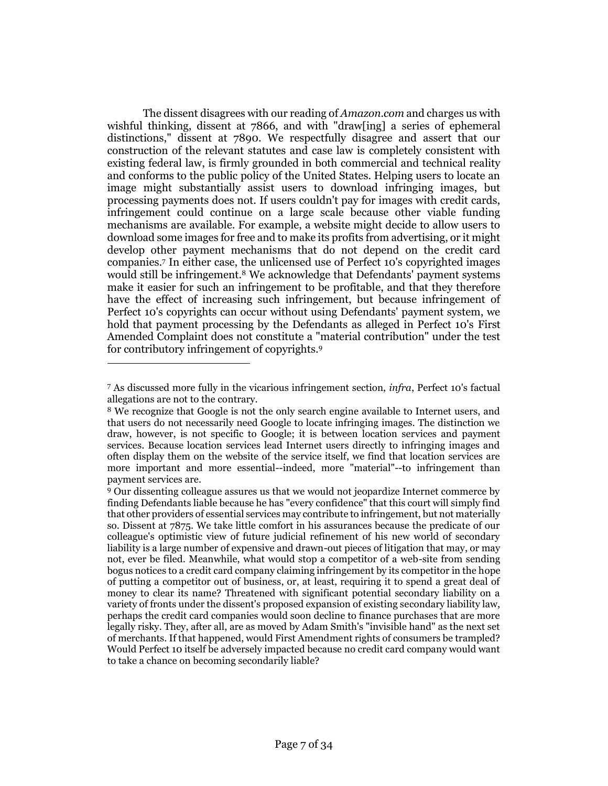The dissent disagrees with our reading of *Amazon.com* and charges us with wishful thinking, dissent at 7866, and with "draw[ing] a series of ephemeral distinctions," dissent at 7890. We respectfully disagree and assert that our construction of the relevant statutes and case law is completely consistent with existing federal law, is firmly grounded in both commercial and technical reality and conforms to the public policy of the United States. Helping users to locate an image might substantially assist users to download infringing images, but processing payments does not. If users couldn't pay for images with credit cards, infringement could continue on a large scale because other viable funding mechanisms are available. For example, a website might decide to allow users to download some images for free and to make its profits from advertising, or it might develop other payment mechanisms that do not depend on the credit card companies.<sup>7</sup> In either case, the unlicensed use of Perfect 10's copyrighted images would still be infringement.<sup>8</sup> We acknowledge that Defendants' payment systems make it easier for such an infringement to be profitable, and that they therefore have the effect of increasing such infringement, but because infringement of Perfect 10's copyrights can occur without using Defendants' payment system, we hold that payment processing by the Defendants as alleged in Perfect 10's First Amended Complaint does not constitute a "material contribution" under the test for contributory infringement of copyrights.<sup>9</sup>

<sup>7</sup> As discussed more fully in the vicarious infringement section, *infra*, Perfect 10's factual allegations are not to the contrary.

<sup>8</sup> We recognize that Google is not the only search engine available to Internet users, and that users do not necessarily need Google to locate infringing images. The distinction we draw, however, is not specific to Google; it is between location services and payment services. Because location services lead Internet users directly to infringing images and often display them on the website of the service itself, we find that location services are more important and more essential--indeed, more "material"--to infringement than payment services are.

<sup>9</sup> Our dissenting colleague assures us that we would not jeopardize Internet commerce by finding Defendants liable because he has "every confidence" that this court will simply find that other providers of essential services may contribute to infringement, but not materially so. Dissent at 7875. We take little comfort in his assurances because the predicate of our colleague's optimistic view of future judicial refinement of his new world of secondary liability is a large number of expensive and drawn-out pieces of litigation that may, or may not, ever be filed. Meanwhile, what would stop a competitor of a web-site from sending bogus notices to a credit card company claiming infringement by its competitor in the hope of putting a competitor out of business, or, at least, requiring it to spend a great deal of money to clear its name? Threatened with significant potential secondary liability on a variety of fronts under the dissent's proposed expansion of existing secondary liability law, perhaps the credit card companies would soon decline to finance purchases that are more legally risky. They, after all, are as moved by Adam Smith's "invisible hand" as the next set of merchants. If that happened, would First Amendment rights of consumers be trampled? Would Perfect 10 itself be adversely impacted because no credit card company would want to take a chance on becoming secondarily liable?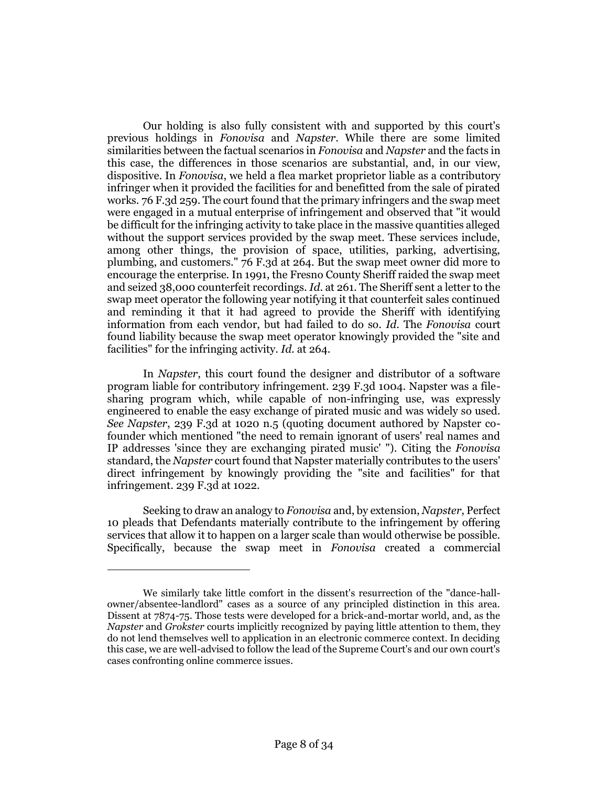Our holding is also fully consistent with and supported by this court's previous holdings in *Fonovisa* and *Napster*. While there are some limited similarities between the factual scenarios in *Fonovisa* and *Napster* and the facts in this case, the differences in those scenarios are substantial, and, in our view, dispositive. In *Fonovisa*, we held a flea market proprietor liable as a contributory infringer when it provided the facilities for and benefitted from the sale of pirated works. 76 F.3d 259. The court found that the primary infringers and the swap meet were engaged in a mutual enterprise of infringement and observed that "it would be difficult for the infringing activity to take place in the massive quantities alleged without the support services provided by the swap meet. These services include, among other things, the provision of space, utilities, parking, advertising, plumbing, and customers." 76 F.3d at 264. But the swap meet owner did more to encourage the enterprise. In 1991, the Fresno County Sheriff raided the swap meet and seized 38,000 counterfeit recordings. *Id*. at 261. The Sheriff sent a letter to the swap meet operator the following year notifying it that counterfeit sales continued and reminding it that it had agreed to provide the Sheriff with identifying information from each vendor, but had failed to do so. *Id*. The *Fonovisa* court found liability because the swap meet operator knowingly provided the "site and facilities" for the infringing activity. *Id*. at 264.

In *Napster*, this court found the designer and distributor of a software program liable for contributory infringement. 239 F.3d 1004. Napster was a filesharing program which, while capable of non-infringing use, was expressly engineered to enable the easy exchange of pirated music and was widely so used. *See Napster*, 239 F.3d at 1020 n.5 (quoting document authored by Napster cofounder which mentioned "the need to remain ignorant of users' real names and IP addresses 'since they are exchanging pirated music' "). Citing the *Fonovisa* standard, the *Napster* court found that Napster materially contributes to the users' direct infringement by knowingly providing the "site and facilities" for that infringement. 239 F.3d at 1022.

Seeking to draw an analogy to *Fonovisa* and, by extension, *Napster*, Perfect 10 pleads that Defendants materially contribute to the infringement by offering services that allow it to happen on a larger scale than would otherwise be possible. Specifically, because the swap meet in *Fonovisa* created a commercial

We similarly take little comfort in the dissent's resurrection of the "dance-hallowner/absentee-landlord" cases as a source of any principled distinction in this area. Dissent at 7874-75. Those tests were developed for a brick-and-mortar world, and, as the *Napster* and *Grokster* courts implicitly recognized by paying little attention to them, they do not lend themselves well to application in an electronic commerce context. In deciding this case, we are well-advised to follow the lead of the Supreme Court's and our own court's cases confronting online commerce issues.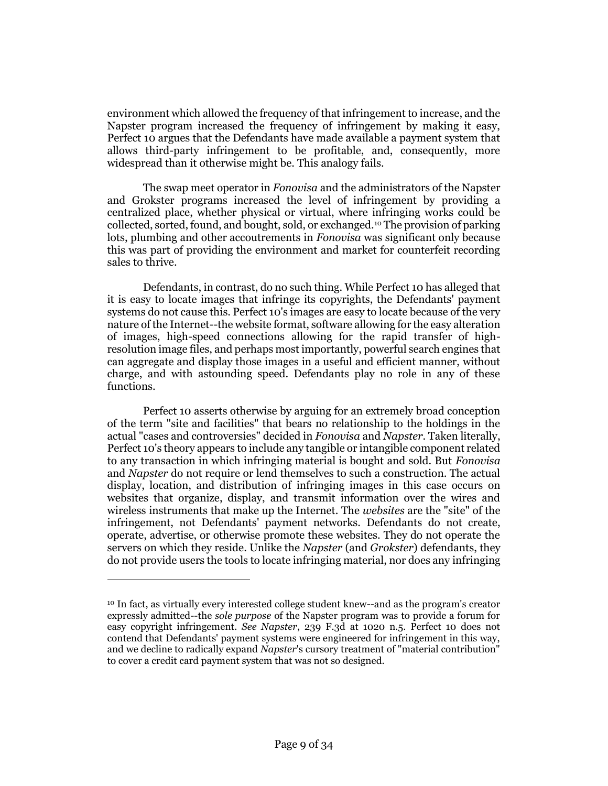environment which allowed the frequency of that infringement to increase, and the Napster program increased the frequency of infringement by making it easy, Perfect 10 argues that the Defendants have made available a payment system that allows third-party infringement to be profitable, and, consequently, more widespread than it otherwise might be. This analogy fails.

The swap meet operator in *Fonovisa* and the administrators of the Napster and Grokster programs increased the level of infringement by providing a centralized place, whether physical or virtual, where infringing works could be collected, sorted, found, and bought, sold, or exchanged.<sup>10</sup> The provision of parking lots, plumbing and other accoutrements in *Fonovisa* was significant only because this was part of providing the environment and market for counterfeit recording sales to thrive.

Defendants, in contrast, do no such thing. While Perfect 10 has alleged that it is easy to locate images that infringe its copyrights, the Defendants' payment systems do not cause this. Perfect 10's images are easy to locate because of the very nature of the Internet--the website format, software allowing for the easy alteration of images, high-speed connections allowing for the rapid transfer of highresolution image files, and perhaps most importantly, powerful search engines that can aggregate and display those images in a useful and efficient manner, without charge, and with astounding speed. Defendants play no role in any of these functions.

Perfect 10 asserts otherwise by arguing for an extremely broad conception of the term "site and facilities" that bears no relationship to the holdings in the actual "cases and controversies" decided in *Fonovisa* and *Napster*. Taken literally, Perfect 10's theory appears to include any tangible or intangible component related to any transaction in which infringing material is bought and sold. But *Fonovisa* and *Napster* do not require or lend themselves to such a construction. The actual display, location, and distribution of infringing images in this case occurs on websites that organize, display, and transmit information over the wires and wireless instruments that make up the Internet. The *websites* are the "site" of the infringement, not Defendants' payment networks. Defendants do not create, operate, advertise, or otherwise promote these websites. They do not operate the servers on which they reside. Unlike the *Napster* (and *Grokster*) defendants, they do not provide users the tools to locate infringing material, nor does any infringing

<sup>10</sup> In fact, as virtually every interested college student knew--and as the program's creator expressly admitted--the *sole purpose* of the Napster program was to provide a forum for easy copyright infringement. *See Napster*, 239 F.3d at 1020 n.5. Perfect 10 does not contend that Defendants' payment systems were engineered for infringement in this way, and we decline to radically expand *Napster*'s cursory treatment of "material contribution" to cover a credit card payment system that was not so designed.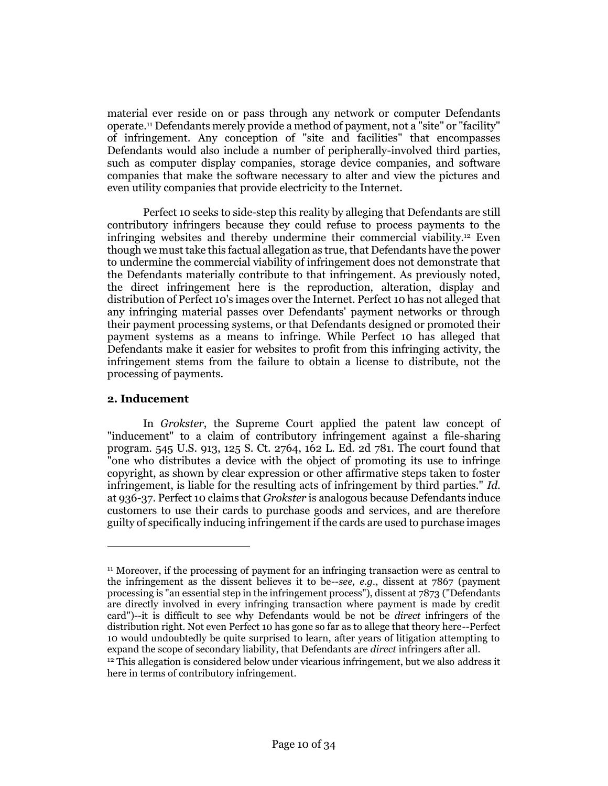material ever reside on or pass through any network or computer Defendants operate.<sup>11</sup> Defendants merely provide a method of payment, not a "site" or "facility" of infringement. Any conception of "site and facilities" that encompasses Defendants would also include a number of peripherally-involved third parties, such as computer display companies, storage device companies, and software companies that make the software necessary to alter and view the pictures and even utility companies that provide electricity to the Internet.

Perfect 10 seeks to side-step this reality by alleging that Defendants are still contributory infringers because they could refuse to process payments to the infringing websites and thereby undermine their commercial viability.<sup>12</sup> Even though we must take this factual allegation as true, that Defendants have the power to undermine the commercial viability of infringement does not demonstrate that the Defendants materially contribute to that infringement. As previously noted, the direct infringement here is the reproduction, alteration, display and distribution of Perfect 10's images over the Internet. Perfect 10 has not alleged that any infringing material passes over Defendants' payment networks or through their payment processing systems, or that Defendants designed or promoted their payment systems as a means to infringe. While Perfect 10 has alleged that Defendants make it easier for websites to profit from this infringing activity, the infringement stems from the failure to obtain a license to distribute, not the processing of payments.

## **2. Inducement**

 $\overline{a}$ 

In *Grokster*, the Supreme Court applied the patent law concept of "inducement" to a claim of contributory infringement against a file-sharing program. 545 U.S. 913, 125 S. Ct. 2764, 162 L. Ed. 2d 781. The court found that "one who distributes a device with the object of promoting its use to infringe copyright, as shown by clear expression or other affirmative steps taken to foster infringement, is liable for the resulting acts of infringement by third parties." *Id.* at 936-37. Perfect 10 claims that *Grokster* is analogous because Defendants induce customers to use their cards to purchase goods and services, and are therefore guilty of specifically inducing infringement if the cards are used to purchase images

<sup>11</sup> Moreover, if the processing of payment for an infringing transaction were as central to the infringement as the dissent believes it to be--*see, e.g.*, dissent at 7867 (payment processing is "an essential step in the infringement process"), dissent at 7873 ("Defendants are directly involved in every infringing transaction where payment is made by credit card")--it is difficult to see why Defendants would be not be *direct* infringers of the distribution right. Not even Perfect 10 has gone so far as to allege that theory here--Perfect 10 would undoubtedly be quite surprised to learn, after years of litigation attempting to expand the scope of secondary liability, that Defendants are *direct* infringers after all.

 $12$  This allegation is considered below under vicarious infringement, but we also address it here in terms of contributory infringement.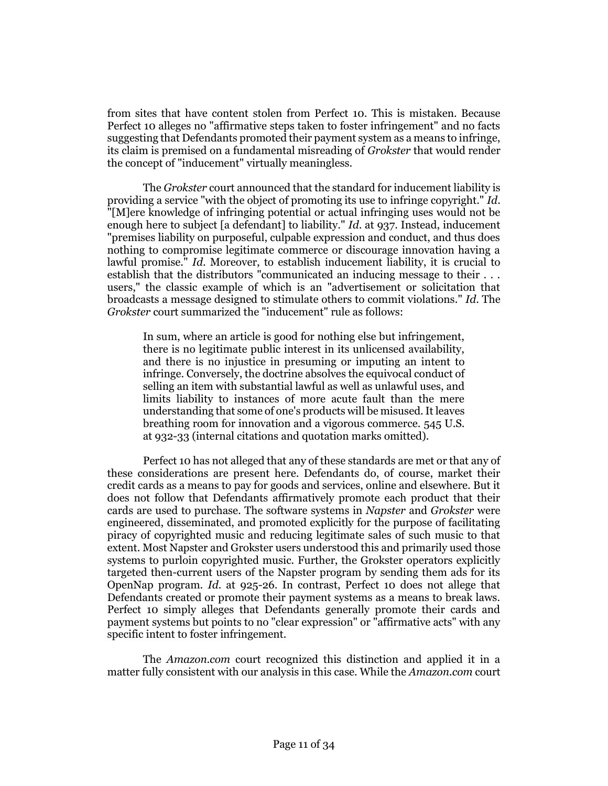from sites that have content stolen from Perfect 10. This is mistaken. Because Perfect 10 alleges no "affirmative steps taken to foster infringement" and no facts suggesting that Defendants promoted their payment system as a means to infringe, its claim is premised on a fundamental misreading of *Grokster* that would render the concept of "inducement" virtually meaningless.

The *Grokster* court announced that the standard for inducement liability is providing a service "with the object of promoting its use to infringe copyright." *Id*. "[M]ere knowledge of infringing potential or actual infringing uses would not be enough here to subject [a defendant] to liability." *Id*. at 937. Instead, inducement "premises liability on purposeful, culpable expression and conduct, and thus does nothing to compromise legitimate commerce or discourage innovation having a lawful promise." *Id*. Moreover, to establish inducement liability, it is crucial to establish that the distributors "communicated an inducing message to their . . . users," the classic example of which is an "advertisement or solicitation that broadcasts a message designed to stimulate others to commit violations." *Id*. The *Grokster* court summarized the "inducement" rule as follows:

In sum, where an article is good for nothing else but infringement, there is no legitimate public interest in its unlicensed availability, and there is no injustice in presuming or imputing an intent to infringe. Conversely, the doctrine absolves the equivocal conduct of selling an item with substantial lawful as well as unlawful uses, and limits liability to instances of more acute fault than the mere understanding that some of one's products will be misused. It leaves breathing room for innovation and a vigorous commerce. 545 U.S. at 932-33 (internal citations and quotation marks omitted).

Perfect 10 has not alleged that any of these standards are met or that any of these considerations are present here. Defendants do, of course, market their credit cards as a means to pay for goods and services, online and elsewhere. But it does not follow that Defendants affirmatively promote each product that their cards are used to purchase. The software systems in *Napster* and *Grokster* were engineered, disseminated, and promoted explicitly for the purpose of facilitating piracy of copyrighted music and reducing legitimate sales of such music to that extent. Most Napster and Grokster users understood this and primarily used those systems to purloin copyrighted music. Further, the Grokster operators explicitly targeted then-current users of the Napster program by sending them ads for its OpenNap program. *Id.* at 925-26. In contrast, Perfect 10 does not allege that Defendants created or promote their payment systems as a means to break laws. Perfect 10 simply alleges that Defendants generally promote their cards and payment systems but points to no "clear expression" or "affirmative acts" with any specific intent to foster infringement.

The *Amazon.com* court recognized this distinction and applied it in a matter fully consistent with our analysis in this case. While the *Amazon.com* court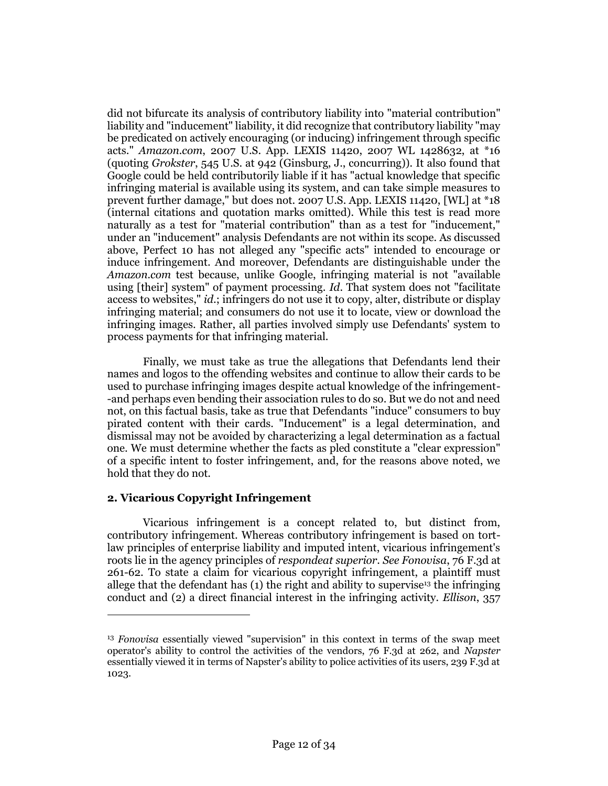did not bifurcate its analysis of contributory liability into "material contribution" liability and "inducement" liability, it did recognize that contributory liability "may be predicated on actively encouraging (or inducing) infringement through specific acts." *Amazon.com*, 2007 U.S. App. LEXIS 11420, 2007 WL 1428632, at \*16 (quoting *Grokster*, 545 U.S. at 942 (Ginsburg, J., concurring)). It also found that Google could be held contributorily liable if it has "actual knowledge that specific infringing material is available using its system, and can take simple measures to prevent further damage," but does not. 2007 U.S. App. LEXIS 11420, [WL] at \*18 (internal citations and quotation marks omitted). While this test is read more naturally as a test for "material contribution" than as a test for "inducement," under an "inducement" analysis Defendants are not within its scope. As discussed above, Perfect 10 has not alleged any "specific acts" intended to encourage or induce infringement. And moreover, Defendants are distinguishable under the *Amazon.com* test because, unlike Google, infringing material is not "available using [their] system" of payment processing. *Id*. That system does not "facilitate access to websites," *id*.; infringers do not use it to copy, alter, distribute or display infringing material; and consumers do not use it to locate, view or download the infringing images. Rather, all parties involved simply use Defendants' system to process payments for that infringing material.

Finally, we must take as true the allegations that Defendants lend their names and logos to the offending websites and continue to allow their cards to be used to purchase infringing images despite actual knowledge of the infringement- -and perhaps even bending their association rules to do so. But we do not and need not, on this factual basis, take as true that Defendants "induce" consumers to buy pirated content with their cards. "Inducement" is a legal determination, and dismissal may not be avoided by characterizing a legal determination as a factual one. We must determine whether the facts as pled constitute a "clear expression" of a specific intent to foster infringement, and, for the reasons above noted, we hold that they do not.

## **2. Vicarious Copyright Infringement**

 $\overline{a}$ 

Vicarious infringement is a concept related to, but distinct from, contributory infringement. Whereas contributory infringement is based on tortlaw principles of enterprise liability and imputed intent, vicarious infringement's roots lie in the agency principles of *respondeat superior*. *See Fonovisa*, 76 F.3d at 261-62. To state a claim for vicarious copyright infringement, a plaintiff must allege that the defendant has  $(1)$  the right and ability to supervise<sup>13</sup> the infringing conduct and (2) a direct financial interest in the infringing activity. *Ellison*, 357

<sup>&</sup>lt;sup>13</sup> *Fonovisa* essentially viewed "supervision" in this context in terms of the swap meet operator's ability to control the activities of the vendors, 76 F.3d at 262, and *Napster* essentially viewed it in terms of Napster's ability to police activities of its users, 239 F.3d at 1023.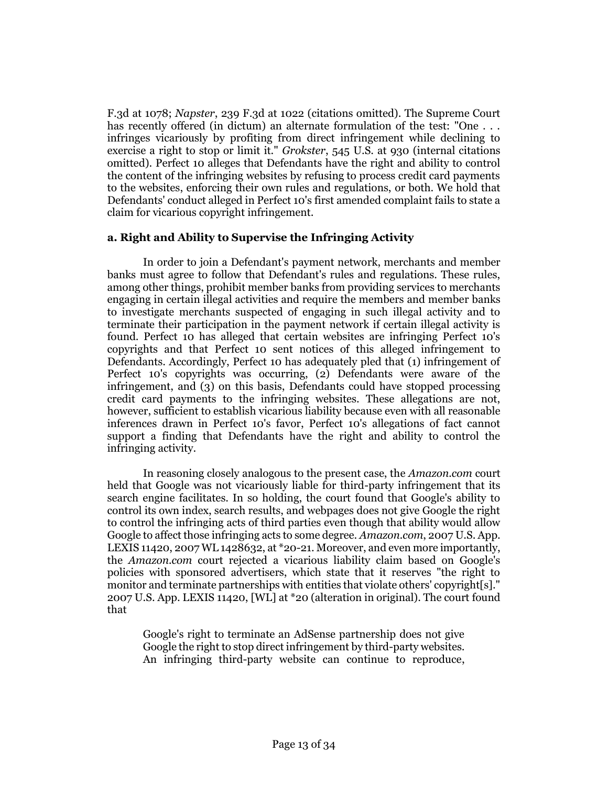F.3d at 1078; *Napster*, 239 F.3d at 1022 (citations omitted). The Supreme Court has recently offered (in dictum) an alternate formulation of the test: "One . . . infringes vicariously by profiting from direct infringement while declining to exercise a right to stop or limit it." *Grokster*, 545 U.S. at 930 (internal citations omitted). Perfect 10 alleges that Defendants have the right and ability to control the content of the infringing websites by refusing to process credit card payments to the websites, enforcing their own rules and regulations, or both. We hold that Defendants' conduct alleged in Perfect 10's first amended complaint fails to state a claim for vicarious copyright infringement.

# **a. Right and Ability to Supervise the Infringing Activity**

In order to join a Defendant's payment network, merchants and member banks must agree to follow that Defendant's rules and regulations. These rules, among other things, prohibit member banks from providing services to merchants engaging in certain illegal activities and require the members and member banks to investigate merchants suspected of engaging in such illegal activity and to terminate their participation in the payment network if certain illegal activity is found. Perfect 10 has alleged that certain websites are infringing Perfect 10's copyrights and that Perfect 10 sent notices of this alleged infringement to Defendants. Accordingly, Perfect 10 has adequately pled that (1) infringement of Perfect 10's copyrights was occurring, (2) Defendants were aware of the infringement, and (3) on this basis, Defendants could have stopped processing credit card payments to the infringing websites. These allegations are not, however, sufficient to establish vicarious liability because even with all reasonable inferences drawn in Perfect 10's favor, Perfect 10's allegations of fact cannot support a finding that Defendants have the right and ability to control the infringing activity.

In reasoning closely analogous to the present case, the *Amazon.com* court held that Google was not vicariously liable for third-party infringement that its search engine facilitates. In so holding, the court found that Google's ability to control its own index, search results, and webpages does not give Google the right to control the infringing acts of third parties even though that ability would allow Google to affect those infringing acts to some degree. *Amazon.com*, 2007 U.S. App. LEXIS 11420, 2007 WL 1428632, at \*20-21. Moreover, and even more importantly, the *Amazon.com* court rejected a vicarious liability claim based on Google's policies with sponsored advertisers, which state that it reserves "the right to monitor and terminate partnerships with entities that violate others' copyright[s]." 2007 U.S. App. LEXIS 11420, [WL] at \*20 (alteration in original). The court found that

Google's right to terminate an AdSense partnership does not give Google the right to stop direct infringement by third-party websites. An infringing third-party website can continue to reproduce,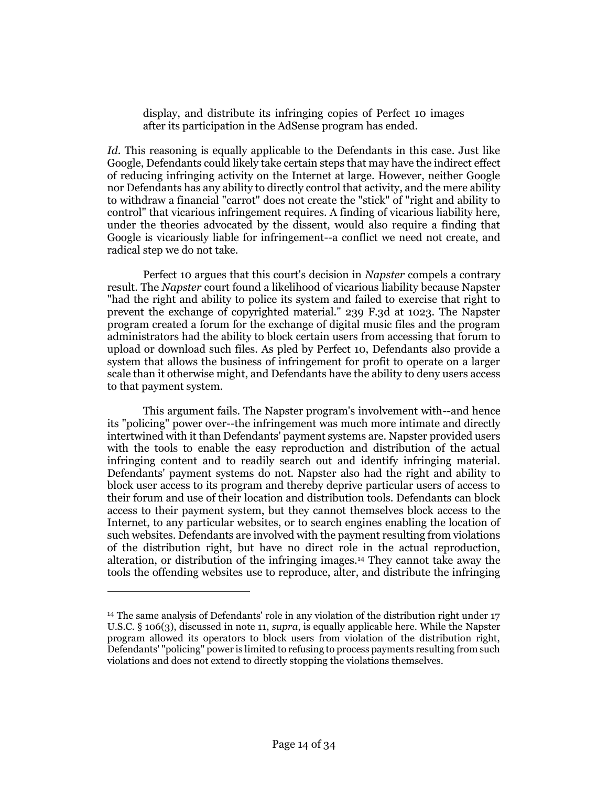display, and distribute its infringing copies of Perfect 10 images after its participation in the AdSense program has ended.

*Id*. This reasoning is equally applicable to the Defendants in this case. Just like Google, Defendants could likely take certain steps that may have the indirect effect of reducing infringing activity on the Internet at large. However, neither Google nor Defendants has any ability to directly control that activity, and the mere ability to withdraw a financial "carrot" does not create the "stick" of "right and ability to control" that vicarious infringement requires. A finding of vicarious liability here, under the theories advocated by the dissent, would also require a finding that Google is vicariously liable for infringement--a conflict we need not create, and radical step we do not take.

Perfect 10 argues that this court's decision in *Napster* compels a contrary result. The *Napster* court found a likelihood of vicarious liability because Napster "had the right and ability to police its system and failed to exercise that right to prevent the exchange of copyrighted material." 239 F.3d at 1023. The Napster program created a forum for the exchange of digital music files and the program administrators had the ability to block certain users from accessing that forum to upload or download such files. As pled by Perfect 10, Defendants also provide a system that allows the business of infringement for profit to operate on a larger scale than it otherwise might, and Defendants have the ability to deny users access to that payment system.

This argument fails. The Napster program's involvement with--and hence its "policing" power over--the infringement was much more intimate and directly intertwined with it than Defendants' payment systems are. Napster provided users with the tools to enable the easy reproduction and distribution of the actual infringing content and to readily search out and identify infringing material. Defendants' payment systems do not. Napster also had the right and ability to block user access to its program and thereby deprive particular users of access to their forum and use of their location and distribution tools. Defendants can block access to their payment system, but they cannot themselves block access to the Internet, to any particular websites, or to search engines enabling the location of such websites. Defendants are involved with the payment resulting from violations of the distribution right, but have no direct role in the actual reproduction, alteration, or distribution of the infringing images.<sup>14</sup> They cannot take away the tools the offending websites use to reproduce, alter, and distribute the infringing

<sup>14</sup> The same analysis of Defendants' role in any violation of the distribution right under 17 U.S.C. § 106(3), discussed in note 11, *supra*, is equally applicable here. While the Napster program allowed its operators to block users from violation of the distribution right, Defendants' "policing" power is limited to refusing to process payments resulting from such violations and does not extend to directly stopping the violations themselves.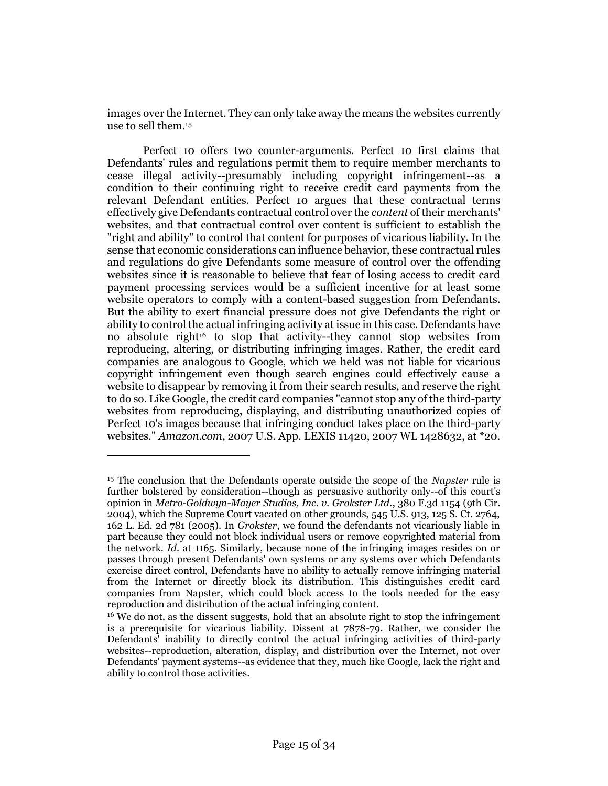images over the Internet. They can only take away the means the websites currently use to sell them.<sup>15</sup>

Perfect 10 offers two counter-arguments. Perfect 10 first claims that Defendants' rules and regulations permit them to require member merchants to cease illegal activity--presumably including copyright infringement--as a condition to their continuing right to receive credit card payments from the relevant Defendant entities. Perfect 10 argues that these contractual terms effectively give Defendants contractual control over the *content* of their merchants' websites, and that contractual control over content is sufficient to establish the "right and ability" to control that content for purposes of vicarious liability. In the sense that economic considerations can influence behavior, these contractual rules and regulations do give Defendants some measure of control over the offending websites since it is reasonable to believe that fear of losing access to credit card payment processing services would be a sufficient incentive for at least some website operators to comply with a content-based suggestion from Defendants. But the ability to exert financial pressure does not give Defendants the right or ability to control the actual infringing activity at issue in this case. Defendants have no absolute right<sup>16</sup> to stop that activity--they cannot stop websites from reproducing, altering, or distributing infringing images. Rather, the credit card companies are analogous to Google, which we held was not liable for vicarious copyright infringement even though search engines could effectively cause a website to disappear by removing it from their search results, and reserve the right to do so. Like Google, the credit card companies "cannot stop any of the third-party websites from reproducing, displaying, and distributing unauthorized copies of Perfect 10's images because that infringing conduct takes place on the third-party websites." *Amazon.com*, 2007 U.S. App. LEXIS 11420, 2007 WL 1428632, at \*20.

<sup>15</sup> The conclusion that the Defendants operate outside the scope of the *Napster* rule is further bolstered by consideration--though as persuasive authority only--of this court's opinion in *Metro-Goldwyn-Mayer Studios, Inc. v. Grokster Ltd.*, 380 F.3d 1154 (9th Cir. 2004), which the Supreme Court vacated on other grounds, 545 U.S. 913, 125 S. Ct. 2764, 162 L. Ed. 2d 781 (2005). In *Grokster*, we found the defendants not vicariously liable in part because they could not block individual users or remove copyrighted material from the network. *Id*. at 1165. Similarly, because none of the infringing images resides on or passes through present Defendants' own systems or any systems over which Defendants exercise direct control, Defendants have no ability to actually remove infringing material from the Internet or directly block its distribution. This distinguishes credit card companies from Napster, which could block access to the tools needed for the easy reproduction and distribution of the actual infringing content.

<sup>&</sup>lt;sup>16</sup> We do not, as the dissent suggests, hold that an absolute right to stop the infringement is a prerequisite for vicarious liability. Dissent at 7878-79. Rather, we consider the Defendants' inability to directly control the actual infringing activities of third-party websites--reproduction, alteration, display, and distribution over the Internet, not over Defendants' payment systems--as evidence that they, much like Google, lack the right and ability to control those activities.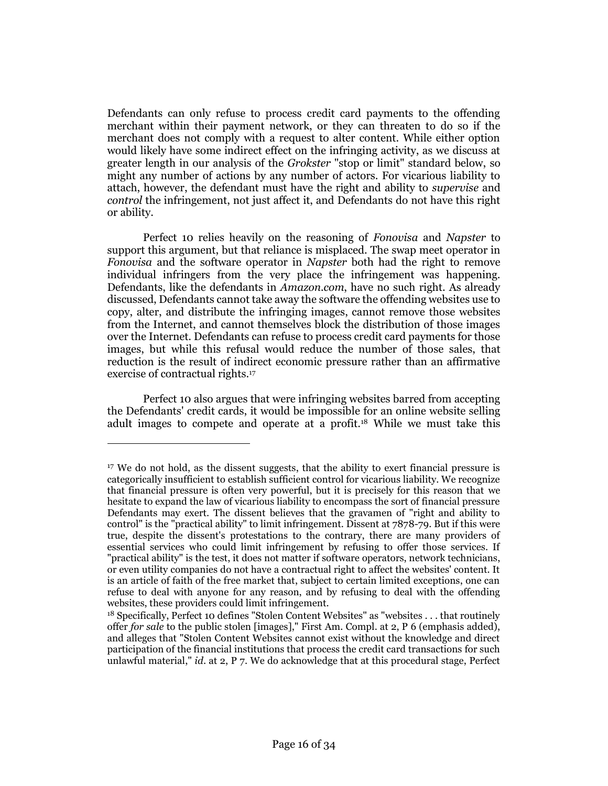Defendants can only refuse to process credit card payments to the offending merchant within their payment network, or they can threaten to do so if the merchant does not comply with a request to alter content. While either option would likely have some indirect effect on the infringing activity, as we discuss at greater length in our analysis of the *Grokster* "stop or limit" standard below, so might any number of actions by any number of actors. For vicarious liability to attach, however, the defendant must have the right and ability to *supervise* and *control* the infringement, not just affect it, and Defendants do not have this right or ability.

Perfect 10 relies heavily on the reasoning of *Fonovisa* and *Napster* to support this argument, but that reliance is misplaced. The swap meet operator in *Fonovisa* and the software operator in *Napster* both had the right to remove individual infringers from the very place the infringement was happening. Defendants, like the defendants in *Amazon.com*, have no such right. As already discussed, Defendants cannot take away the software the offending websites use to copy, alter, and distribute the infringing images, cannot remove those websites from the Internet, and cannot themselves block the distribution of those images over the Internet. Defendants can refuse to process credit card payments for those images, but while this refusal would reduce the number of those sales, that reduction is the result of indirect economic pressure rather than an affirmative exercise of contractual rights.<sup>17</sup>

Perfect 10 also argues that were infringing websites barred from accepting the Defendants' credit cards, it would be impossible for an online website selling adult images to compete and operate at a profit.<sup>18</sup> While we must take this

<sup>&</sup>lt;sup>17</sup> We do not hold, as the dissent suggests, that the ability to exert financial pressure is categorically insufficient to establish sufficient control for vicarious liability. We recognize that financial pressure is often very powerful, but it is precisely for this reason that we hesitate to expand the law of vicarious liability to encompass the sort of financial pressure Defendants may exert. The dissent believes that the gravamen of "right and ability to control" is the "practical ability" to limit infringement. Dissent at 7878-79. But if this were true, despite the dissent's protestations to the contrary, there are many providers of essential services who could limit infringement by refusing to offer those services. If "practical ability" is the test, it does not matter if software operators, network technicians, or even utility companies do not have a contractual right to affect the websites' content. It is an article of faith of the free market that, subject to certain limited exceptions, one can refuse to deal with anyone for any reason, and by refusing to deal with the offending websites, these providers could limit infringement.

<sup>&</sup>lt;sup>18</sup> Specifically, Perfect 10 defines "Stolen Content Websites" as "websites . . . that routinely offer *for sale* to the public stolen [images]," First Am. Compl. at 2, P 6 (emphasis added), and alleges that "Stolen Content Websites cannot exist without the knowledge and direct participation of the financial institutions that process the credit card transactions for such unlawful material," *id*. at 2, P 7. We do acknowledge that at this procedural stage, Perfect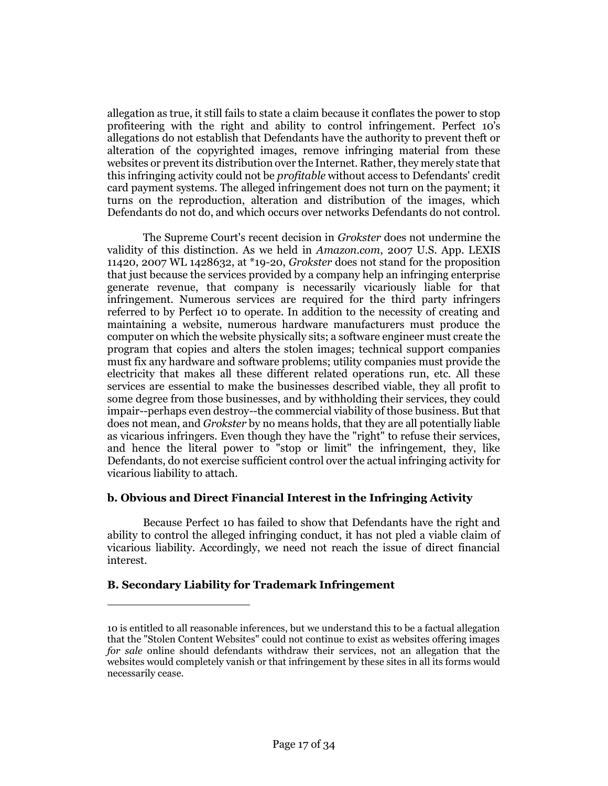allegation as true, it still fails to state a claim because it conflates the power to stop profiteering with the right and ability to control infringement. Perfect 10's allegations do not establish that Defendants have the authority to prevent theft or alteration of the copyrighted images, remove infringing material from these websites or prevent its distribution over the Internet. Rather, they merely state that this infringing activity could not be *profitable* without access to Defendants' credit card payment systems. The alleged infringement does not turn on the payment; it turns on the reproduction, alteration and distribution of the images, which Defendants do not do, and which occurs over networks Defendants do not control.

The Supreme Court's recent decision in *Grokster* does not undermine the validity of this distinction. As we held in *Amazon.com*, 2007 U.S. App. LEXIS 11420, 2007 WL 1428632, at \*19-20, *Grokster* does not stand for the proposition that just because the services provided by a company help an infringing enterprise generate revenue, that company is necessarily vicariously liable for that infringement. Numerous services are required for the third party infringers referred to by Perfect 10 to operate. In addition to the necessity of creating and maintaining a website, numerous hardware manufacturers must produce the computer on which the website physically sits; a software engineer must create the program that copies and alters the stolen images; technical support companies must fix any hardware and software problems; utility companies must provide the electricity that makes all these different related operations run, etc. All these services are essential to make the businesses described viable, they all profit to some degree from those businesses, and by withholding their services, they could impair--perhaps even destroy--the commercial viability of those business. But that does not mean, and *Grokster* by no means holds, that they are all potentially liable as vicarious infringers. Even though they have the "right" to refuse their services, and hence the literal power to "stop or limit" the infringement, they, like Defendants, do not exercise sufficient control over the actual infringing activity for vicarious liability to attach.

## **b. Obvious and Direct Financial Interest in the Infringing Activity**

Because Perfect 10 has failed to show that Defendants have the right and ability to control the alleged infringing conduct, it has not pled a viable claim of vicarious liability. Accordingly, we need not reach the issue of direct financial interest.

## **B. Secondary Liability for Trademark Infringement**

<sup>10</sup> is entitled to all reasonable inferences, but we understand this to be a factual allegation that the "Stolen Content Websites" could not continue to exist as websites offering images *for sale* online should defendants withdraw their services, not an allegation that the websites would completely vanish or that infringement by these sites in all its forms would necessarily cease.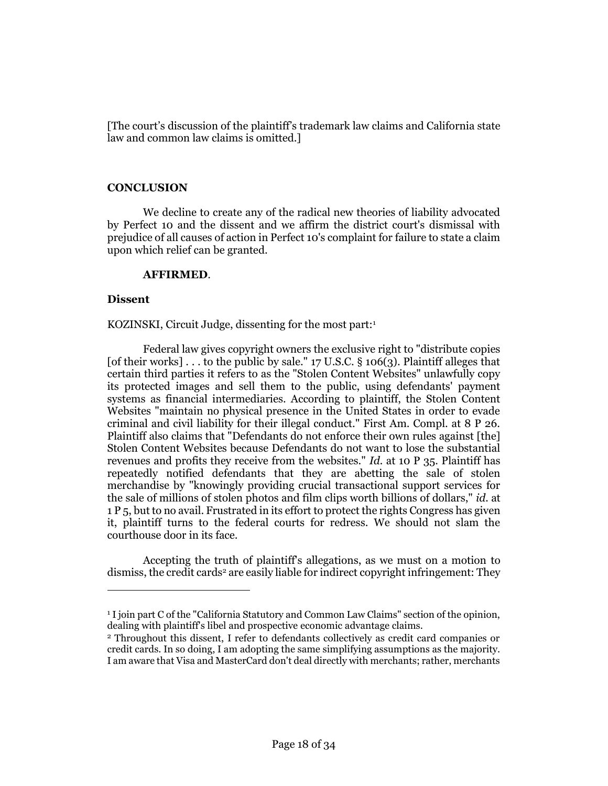[The court's discussion of the plaintiff's trademark law claims and California state law and common law claims is omitted.]

## **CONCLUSION**

We decline to create any of the radical new theories of liability advocated by Perfect 10 and the dissent and we affirm the district court's dismissal with prejudice of all causes of action in Perfect 10's complaint for failure to state a claim upon which relief can be granted.

## **AFFIRMED**.

## **Dissent**

 $\overline{a}$ 

KOZINSKI, Circuit Judge, dissenting for the most part:<sup>1</sup>

Federal law gives copyright owners the exclusive right to "distribute copies [of their works] . . . to the public by sale."  $17$  U.S.C. § 106(3). Plaintiff alleges that certain third parties it refers to as the "Stolen Content Websites" unlawfully copy its protected images and sell them to the public, using defendants' payment systems as financial intermediaries. According to plaintiff, the Stolen Content Websites "maintain no physical presence in the United States in order to evade criminal and civil liability for their illegal conduct." First Am. Compl. at 8 P 26. Plaintiff also claims that "Defendants do not enforce their own rules against [the] Stolen Content Websites because Defendants do not want to lose the substantial revenues and profits they receive from the websites." *Id.* at 10 P 35. Plaintiff has repeatedly notified defendants that they are abetting the sale of stolen merchandise by "knowingly providing crucial transactional support services for the sale of millions of stolen photos and film clips worth billions of dollars," *id.* at 1 P 5, but to no avail. Frustrated in its effort to protect the rights Congress has given it, plaintiff turns to the federal courts for redress. We should not slam the courthouse door in its face.

Accepting the truth of plaintiff's allegations, as we must on a motion to dismiss, the credit cards<sup>2</sup> are easily liable for indirect copyright infringement: They

<sup>1</sup> I join part C of the "California Statutory and Common Law Claims" section of the opinion, dealing with plaintiff's libel and prospective economic advantage claims.

<sup>2</sup> Throughout this dissent, I refer to defendants collectively as credit card companies or credit cards. In so doing, I am adopting the same simplifying assumptions as the majority. I am aware that Visa and MasterCard don't deal directly with merchants; rather, merchants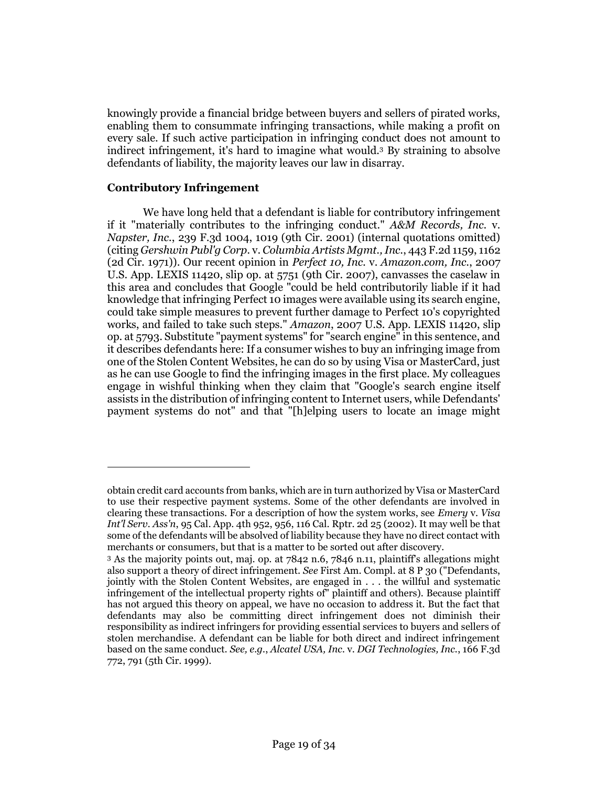knowingly provide a financial bridge between buyers and sellers of pirated works, enabling them to consummate infringing transactions, while making a profit on every sale. If such active participation in infringing conduct does not amount to indirect infringement, it's hard to imagine what would.<sup>3</sup> By straining to absolve defendants of liability, the majority leaves our law in disarray.

## **Contributory Infringement**

 $\overline{a}$ 

We have long held that a defendant is liable for contributory infringement if it "materially contributes to the infringing conduct." *A&M Records, Inc.* v. *Napster, Inc.*, 239 F.3d 1004, 1019 (9th Cir. 2001) (internal quotations omitted) (citing *Gershwin Publ'g Corp.* v. *Columbia Artists Mgmt., Inc.*, 443 F.2d 1159, 1162 (2d Cir. 1971)). Our recent opinion in *Perfect 10, Inc.* v. *Amazon.com, Inc.*, 2007 U.S. App. LEXIS 11420, slip op. at 5751 (9th Cir. 2007), canvasses the caselaw in this area and concludes that Google "could be held contributorily liable if it had knowledge that infringing Perfect 10 images were available using its search engine, could take simple measures to prevent further damage to Perfect 10's copyrighted works, and failed to take such steps." *Amazon*, 2007 U.S. App. LEXIS 11420, slip op. at 5793. Substitute "payment systems" for "search engine" in this sentence, and it describes defendants here: If a consumer wishes to buy an infringing image from one of the Stolen Content Websites, he can do so by using Visa or MasterCard, just as he can use Google to find the infringing images in the first place. My colleagues engage in wishful thinking when they claim that "Google's search engine itself assists in the distribution of infringing content to Internet users, while Defendants' payment systems do not" and that "[h]elping users to locate an image might

obtain credit card accounts from banks, which are in turn authorized by Visa or MasterCard to use their respective payment systems. Some of the other defendants are involved in clearing these transactions. For a description of how the system works, see *Emery* v. *Visa Int'l Serv. Ass'n*, 95 Cal. App. 4th 952, 956, 116 Cal. Rptr. 2d 25 (2002). It may well be that some of the defendants will be absolved of liability because they have no direct contact with merchants or consumers, but that is a matter to be sorted out after discovery.

<sup>3</sup> As the majority points out, maj. op. at 7842 n.6, 7846 n.11, plaintiff's allegations might also support a theory of direct infringement. *See* First Am. Compl. at 8 P 30 ("Defendants, jointly with the Stolen Content Websites, are engaged in . . . the willful and systematic infringement of the intellectual property rights of" plaintiff and others). Because plaintiff has not argued this theory on appeal, we have no occasion to address it. But the fact that defendants may also be committing direct infringement does not diminish their responsibility as indirect infringers for providing essential services to buyers and sellers of stolen merchandise. A defendant can be liable for both direct and indirect infringement based on the same conduct. *See, e.g.*, *Alcatel USA, Inc.* v. *DGI Technologies, Inc.*, 166 F.3d 772, 791 (5th Cir. 1999).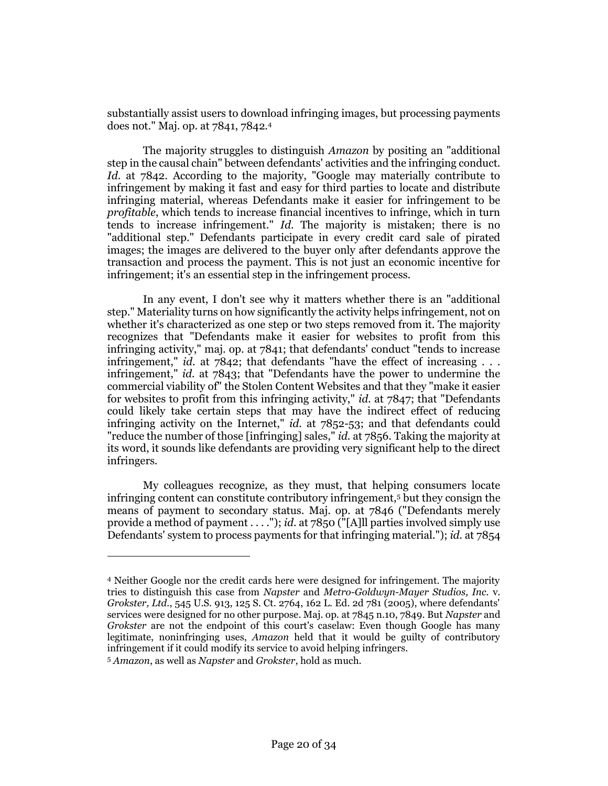substantially assist users to download infringing images, but processing payments does not." Maj. op. at 7841, 7842.<sup>4</sup>

The majority struggles to distinguish *Amazon* by positing an "additional step in the causal chain" between defendants' activities and the infringing conduct. *Id.* at 7842. According to the majority, "Google may materially contribute to infringement by making it fast and easy for third parties to locate and distribute infringing material, whereas Defendants make it easier for infringement to be *profitable*, which tends to increase financial incentives to infringe, which in turn tends to increase infringement." *Id.* The majority is mistaken; there is no "additional step." Defendants participate in every credit card sale of pirated images; the images are delivered to the buyer only after defendants approve the transaction and process the payment. This is not just an economic incentive for infringement; it's an essential step in the infringement process.

In any event, I don't see why it matters whether there is an "additional step." Materiality turns on how significantly the activity helps infringement, not on whether it's characterized as one step or two steps removed from it. The majority recognizes that "Defendants make it easier for websites to profit from this infringing activity," maj. op. at 7841; that defendants' conduct "tends to increase infringement," *id.* at 7842; that defendants "have the effect of increasing . . . infringement," *id.* at 7843; that "Defendants have the power to undermine the commercial viability of" the Stolen Content Websites and that they "make it easier for websites to profit from this infringing activity," *id.* at 7847; that "Defendants could likely take certain steps that may have the indirect effect of reducing infringing activity on the Internet," *id.* at 7852-53; and that defendants could "reduce the number of those [infringing] sales," *id.* at 7856. Taking the majority at its word, it sounds like defendants are providing very significant help to the direct infringers.

My colleagues recognize, as they must, that helping consumers locate infringing content can constitute contributory infringement,<sup>5</sup> but they consign the means of payment to secondary status. Maj. op. at 7846 ("Defendants merely provide a method of payment . . . ."); *id.* at 7850 ("[A]ll parties involved simply use Defendants' system to process payments for that infringing material."); *id.* at 7854

<sup>4</sup> Neither Google nor the credit cards here were designed for infringement. The majority tries to distinguish this case from *Napster* and *Metro-Goldwyn-Mayer Studios, Inc.* v. *Grokster, Ltd.*, 545 U.S. 913, 125 S. Ct. 2764, 162 L. Ed. 2d 781 (2005), where defendants' services were designed for no other purpose. Maj. op. at 7845 n.10, 7849. But *Napster* and *Grokster* are not the endpoint of this court's caselaw: Even though Google has many legitimate, noninfringing uses, *Amazon* held that it would be guilty of contributory infringement if it could modify its service to avoid helping infringers.

<sup>5</sup> *Amazon*, as well as *Napster* and *Grokster*, hold as much.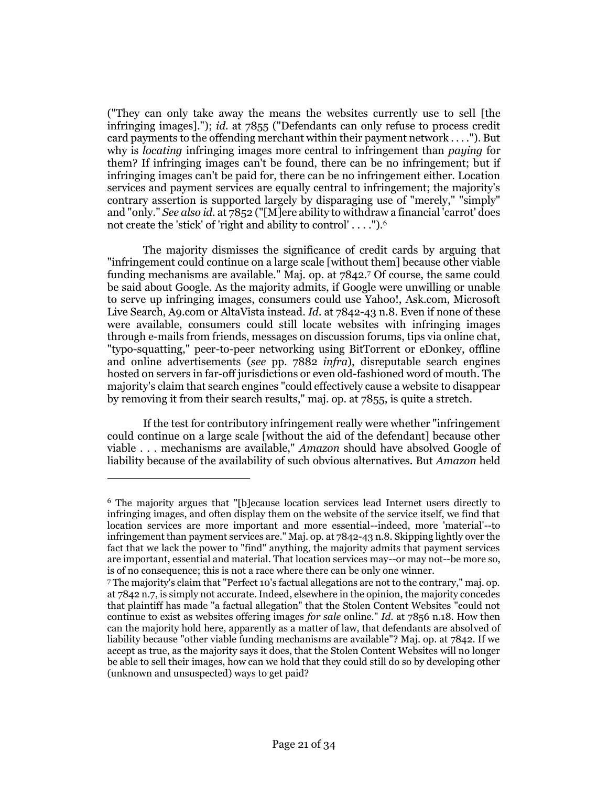("They can only take away the means the websites currently use to sell [the infringing images]."); *id.* at 7855 ("Defendants can only refuse to process credit card payments to the offending merchant within their payment network . . . ."). But why is *locating* infringing images more central to infringement than *paying* for them? If infringing images can't be found, there can be no infringement; but if infringing images can't be paid for, there can be no infringement either. Location services and payment services are equally central to infringement; the majority's contrary assertion is supported largely by disparaging use of "merely," "simply" and "only." *See also id.* at 7852 ("[M]ere ability to withdraw a financial 'carrot' does not create the 'stick' of 'right and ability to control' . . . .").<sup>6</sup>

The majority dismisses the significance of credit cards by arguing that "infringement could continue on a large scale [without them] because other viable funding mechanisms are available." Maj. op. at 7842.<sup>7</sup> Of course, the same could be said about Google. As the majority admits, if Google were unwilling or unable to serve up infringing images, consumers could use Yahoo!, Ask.com, Microsoft Live Search, A9.com or AltaVista instead. *Id.* at 7842-43 n.8. Even if none of these were available, consumers could still locate websites with infringing images through e-mails from friends, messages on discussion forums, tips via online chat, "typo-squatting," peer-to-peer networking using BitTorrent or eDonkey, offline and online advertisements (*see* pp. 7882 *infra*), disreputable search engines hosted on servers in far-off jurisdictions or even old-fashioned word of mouth. The majority's claim that search engines "could effectively cause a website to disappear by removing it from their search results," maj. op. at 7855, is quite a stretch.

If the test for contributory infringement really were whether "infringement could continue on a large scale [without the aid of the defendant] because other viable . . . mechanisms are available," *Amazon* should have absolved Google of liability because of the availability of such obvious alternatives. But *Amazon* held

<sup>6</sup> The majority argues that "[b]ecause location services lead Internet users directly to infringing images, and often display them on the website of the service itself, we find that location services are more important and more essential--indeed, more 'material'--to infringement than payment services are." Maj. op. at 7842-43 n.8. Skipping lightly over the fact that we lack the power to "find" anything, the majority admits that payment services are important, essential and material. That location services may--or may not--be more so, is of no consequence; this is not a race where there can be only one winner.

<sup>7</sup> The majority's claim that "Perfect 10's factual allegations are not to the contrary," maj. op. at 7842 n.7, is simply not accurate. Indeed, elsewhere in the opinion, the majority concedes that plaintiff has made "a factual allegation" that the Stolen Content Websites "could not continue to exist as websites offering images *for sale* online." *Id.* at 7856 n.18. How then can the majority hold here, apparently as a matter of law, that defendants are absolved of liability because "other viable funding mechanisms are available"? Maj. op. at 7842. If we accept as true, as the majority says it does, that the Stolen Content Websites will no longer be able to sell their images, how can we hold that they could still do so by developing other (unknown and unsuspected) ways to get paid?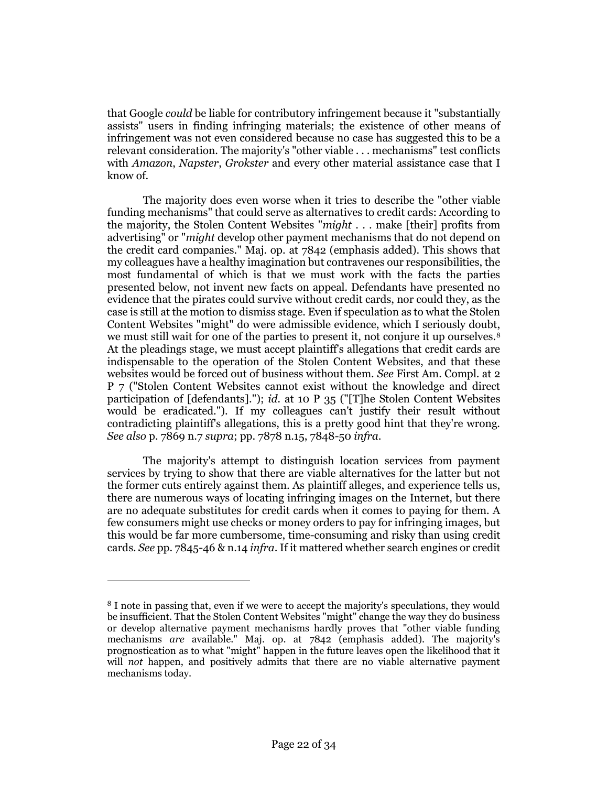that Google *could* be liable for contributory infringement because it "substantially assists" users in finding infringing materials; the existence of other means of infringement was not even considered because no case has suggested this to be a relevant consideration. The majority's "other viable . . . mechanisms" test conflicts with *Amazon*, *Napster*, *Grokster* and every other material assistance case that I know of.

The majority does even worse when it tries to describe the "other viable funding mechanisms" that could serve as alternatives to credit cards: According to the majority, the Stolen Content Websites "*might* . . . make [their] profits from advertising" or "*might* develop other payment mechanisms that do not depend on the credit card companies." Maj. op. at 7842 (emphasis added). This shows that my colleagues have a healthy imagination but contravenes our responsibilities, the most fundamental of which is that we must work with the facts the parties presented below, not invent new facts on appeal. Defendants have presented no evidence that the pirates could survive without credit cards, nor could they, as the case is still at the motion to dismiss stage. Even if speculation as to what the Stolen Content Websites "might" do were admissible evidence, which I seriously doubt, we must still wait for one of the parties to present it, not conjure it up ourselves.<sup>8</sup> At the pleadings stage, we must accept plaintiff's allegations that credit cards are indispensable to the operation of the Stolen Content Websites, and that these websites would be forced out of business without them. *See* First Am. Compl. at 2 P 7 ("Stolen Content Websites cannot exist without the knowledge and direct participation of [defendants]."); *id.* at 10 P 35 ("[T]he Stolen Content Websites would be eradicated."). If my colleagues can't justify their result without contradicting plaintiff's allegations, this is a pretty good hint that they're wrong. *See also* p. 7869 n.7 *supra*; pp. 7878 n.15, 7848-50 *infra*.

The majority's attempt to distinguish location services from payment services by trying to show that there are viable alternatives for the latter but not the former cuts entirely against them. As plaintiff alleges, and experience tells us, there are numerous ways of locating infringing images on the Internet, but there are no adequate substitutes for credit cards when it comes to paying for them. A few consumers might use checks or money orders to pay for infringing images, but this would be far more cumbersome, time-consuming and risky than using credit cards. *See* pp. 7845-46 & n.14 *infra*. If it mattered whether search engines or credit

<sup>8</sup> I note in passing that, even if we were to accept the majority's speculations, they would be insufficient. That the Stolen Content Websites "might" change the way they do business or develop alternative payment mechanisms hardly proves that "other viable funding mechanisms *are* available." Maj. op. at 7842 (emphasis added). The majority's prognostication as to what "might" happen in the future leaves open the likelihood that it will *not* happen, and positively admits that there are no viable alternative payment mechanisms today.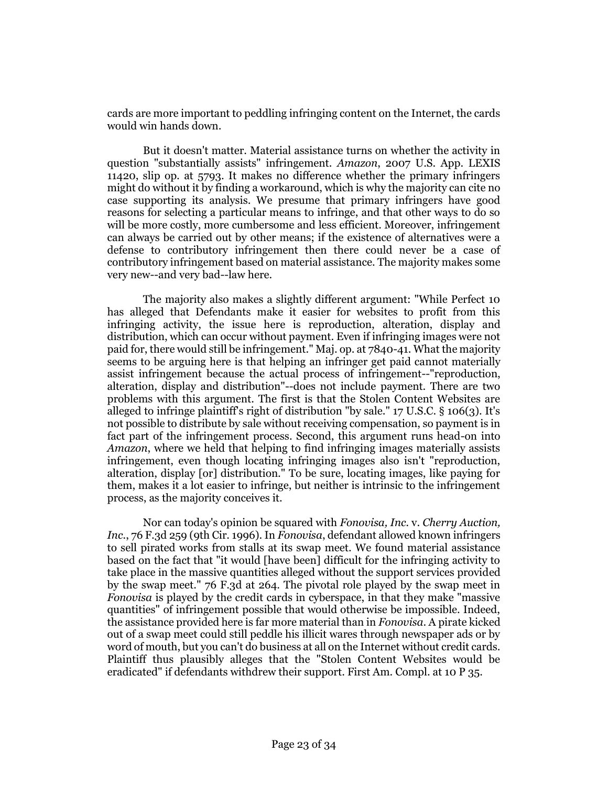cards are more important to peddling infringing content on the Internet, the cards would win hands down.

But it doesn't matter. Material assistance turns on whether the activity in question "substantially assists" infringement. *Amazon*, 2007 U.S. App. LEXIS 11420, slip op. at 5793. It makes no difference whether the primary infringers might do without it by finding a workaround, which is why the majority can cite no case supporting its analysis. We presume that primary infringers have good reasons for selecting a particular means to infringe, and that other ways to do so will be more costly, more cumbersome and less efficient. Moreover, infringement can always be carried out by other means; if the existence of alternatives were a defense to contributory infringement then there could never be a case of contributory infringement based on material assistance. The majority makes some very new--and very bad--law here.

The majority also makes a slightly different argument: "While Perfect 10 has alleged that Defendants make it easier for websites to profit from this infringing activity, the issue here is reproduction, alteration, display and distribution, which can occur without payment. Even if infringing images were not paid for, there would still be infringement." Maj. op. at 7840-41. What the majority seems to be arguing here is that helping an infringer get paid cannot materially assist infringement because the actual process of infringement--"reproduction, alteration, display and distribution"--does not include payment. There are two problems with this argument. The first is that the Stolen Content Websites are alleged to infringe plaintiff's right of distribution "by sale."  $17 \text{ U.S.C.}$  § 106(3). It's not possible to distribute by sale without receiving compensation, so payment is in fact part of the infringement process. Second, this argument runs head-on into *Amazon*, where we held that helping to find infringing images materially assists infringement, even though locating infringing images also isn't "reproduction, alteration, display [or] distribution." To be sure, locating images, like paying for them, makes it a lot easier to infringe, but neither is intrinsic to the infringement process, as the majority conceives it.

Nor can today's opinion be squared with *Fonovisa, Inc.* v. *Cherry Auction, Inc.*, 76 F.3d 259 (9th Cir. 1996). In *Fonovisa*, defendant allowed known infringers to sell pirated works from stalls at its swap meet. We found material assistance based on the fact that "it would [have been] difficult for the infringing activity to take place in the massive quantities alleged without the support services provided by the swap meet." 76 F.3d at 264. The pivotal role played by the swap meet in *Fonovisa* is played by the credit cards in cyberspace, in that they make "massive quantities" of infringement possible that would otherwise be impossible. Indeed, the assistance provided here is far more material than in *Fonovisa*. A pirate kicked out of a swap meet could still peddle his illicit wares through newspaper ads or by word of mouth, but you can't do business at all on the Internet without credit cards. Plaintiff thus plausibly alleges that the "Stolen Content Websites would be eradicated" if defendants withdrew their support. First Am. Compl. at 10 P 35.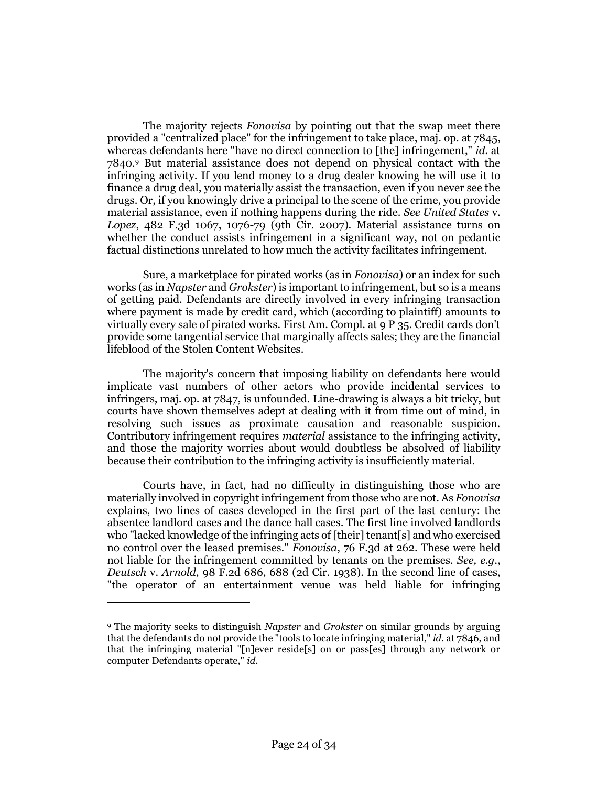The majority rejects *Fonovisa* by pointing out that the swap meet there provided a "centralized place" for the infringement to take place, maj. op. at 7845, whereas defendants here "have no direct connection to [the] infringement," *id.* at 7840.<sup>9</sup> But material assistance does not depend on physical contact with the infringing activity. If you lend money to a drug dealer knowing he will use it to finance a drug deal, you materially assist the transaction, even if you never see the drugs. Or, if you knowingly drive a principal to the scene of the crime, you provide material assistance, even if nothing happens during the ride. *See United States* v. *Lopez*, 482 F.3d 1067, 1076-79 (9th Cir. 2007). Material assistance turns on whether the conduct assists infringement in a significant way, not on pedantic factual distinctions unrelated to how much the activity facilitates infringement.

Sure, a marketplace for pirated works (as in *Fonovisa*) or an index for such works (as in *Napster* and *Grokster*) is important to infringement, but so is a means of getting paid. Defendants are directly involved in every infringing transaction where payment is made by credit card, which (according to plaintiff) amounts to virtually every sale of pirated works. First Am. Compl. at 9 P 35. Credit cards don't provide some tangential service that marginally affects sales; they are the financial lifeblood of the Stolen Content Websites.

The majority's concern that imposing liability on defendants here would implicate vast numbers of other actors who provide incidental services to infringers, maj. op. at 7847, is unfounded. Line-drawing is always a bit tricky, but courts have shown themselves adept at dealing with it from time out of mind, in resolving such issues as proximate causation and reasonable suspicion. Contributory infringement requires *material* assistance to the infringing activity, and those the majority worries about would doubtless be absolved of liability because their contribution to the infringing activity is insufficiently material.

Courts have, in fact, had no difficulty in distinguishing those who are materially involved in copyright infringement from those who are not. As *Fonovisa* explains, two lines of cases developed in the first part of the last century: the absentee landlord cases and the dance hall cases. The first line involved landlords who "lacked knowledge of the infringing acts of [their] tenant[s] and who exercised no control over the leased premises." *Fonovisa*, 76 F.3d at 262. These were held not liable for the infringement committed by tenants on the premises. *See, e.g.*, *Deutsch* v. *Arnold*, 98 F.2d 686, 688 (2d Cir. 1938). In the second line of cases, "the operator of an entertainment venue was held liable for infringing

<sup>9</sup> The majority seeks to distinguish *Napster* and *Grokster* on similar grounds by arguing that the defendants do not provide the "tools to locate infringing material," *id.* at 7846, and that the infringing material "[n]ever reside[s] on or pass[es] through any network or computer Defendants operate," *id.*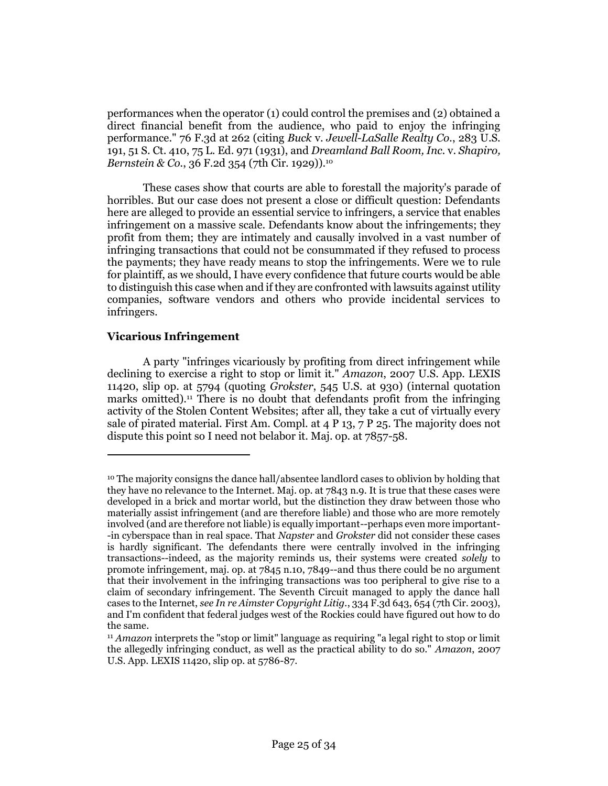performances when the operator (1) could control the premises and (2) obtained a direct financial benefit from the audience, who paid to enjoy the infringing performance." 76 F.3d at 262 (citing *Buck* v. *Jewell-LaSalle Realty Co.*, 283 U.S. 191, 51 S. Ct. 410, 75 L. Ed. 971 (1931), and *Dreamland Ball Room, Inc.* v. *Shapiro, Bernstein & Co.*, 36 F.2d 354 (7th Cir. 1929)).<sup>10</sup>

These cases show that courts are able to forestall the majority's parade of horribles. But our case does not present a close or difficult question: Defendants here are alleged to provide an essential service to infringers, a service that enables infringement on a massive scale. Defendants know about the infringements; they profit from them; they are intimately and causally involved in a vast number of infringing transactions that could not be consummated if they refused to process the payments; they have ready means to stop the infringements. Were we to rule for plaintiff, as we should, I have every confidence that future courts would be able to distinguish this case when and if they are confronted with lawsuits against utility companies, software vendors and others who provide incidental services to infringers.

# **Vicarious Infringement**

 $\overline{a}$ 

A party "infringes vicariously by profiting from direct infringement while declining to exercise a right to stop or limit it." *Amazon*, 2007 U.S. App. LEXIS 11420, slip op. at 5794 (quoting *Grokster*, 545 U.S. at 930) (internal quotation marks omitted).<sup>11</sup> There is no doubt that defendants profit from the infringing activity of the Stolen Content Websites; after all, they take a cut of virtually every sale of pirated material. First Am. Compl. at 4 P 13, 7 P 25. The majority does not dispute this point so I need not belabor it. Maj. op. at 7857-58.

 $10$  The majority consigns the dance hall/absentee landlord cases to oblivion by holding that they have no relevance to the Internet. Maj. op. at 7843 n.9. It is true that these cases were developed in a brick and mortar world, but the distinction they draw between those who materially assist infringement (and are therefore liable) and those who are more remotely involved (and are therefore not liable) is equally important--perhaps even more important- -in cyberspace than in real space. That *Napster* and *Grokster* did not consider these cases is hardly significant. The defendants there were centrally involved in the infringing transactions--indeed, as the majority reminds us, their systems were created *solely* to promote infringement, maj. op. at 7845 n.10, 7849--and thus there could be no argument that their involvement in the infringing transactions was too peripheral to give rise to a claim of secondary infringement. The Seventh Circuit managed to apply the dance hall cases to the Internet, *see In re Aimster Copyright Litig.*, 334 F.3d 643, 654 (7th Cir. 2003), and I'm confident that federal judges west of the Rockies could have figured out how to do the same.

<sup>11</sup> *Amazon* interprets the "stop or limit" language as requiring "a legal right to stop or limit the allegedly infringing conduct, as well as the practical ability to do so." *Amazon*, 2007 U.S. App. LEXIS 11420, slip op. at 5786-87.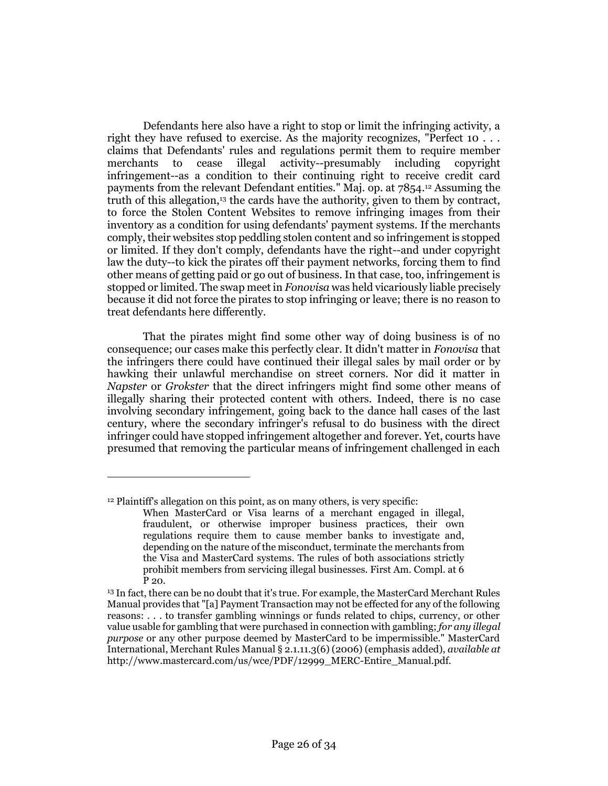Defendants here also have a right to stop or limit the infringing activity, a right they have refused to exercise. As the majority recognizes, "Perfect 10 . . . claims that Defendants' rules and regulations permit them to require member merchants to cease illegal activity--presumably including copyright infringement--as a condition to their continuing right to receive credit card payments from the relevant Defendant entities." Maj. op. at 7854.<sup>12</sup> Assuming the truth of this allegation,<sup>13</sup> the cards have the authority, given to them by contract, to force the Stolen Content Websites to remove infringing images from their inventory as a condition for using defendants' payment systems. If the merchants comply, their websites stop peddling stolen content and so infringement is stopped or limited. If they don't comply, defendants have the right--and under copyright law the duty--to kick the pirates off their payment networks, forcing them to find other means of getting paid or go out of business. In that case, too, infringement is stopped or limited. The swap meet in *Fonovisa* was held vicariously liable precisely because it did not force the pirates to stop infringing or leave; there is no reason to treat defendants here differently.

That the pirates might find some other way of doing business is of no consequence; our cases make this perfectly clear. It didn't matter in *Fonovisa* that the infringers there could have continued their illegal sales by mail order or by hawking their unlawful merchandise on street corners. Nor did it matter in *Napster* or *Grokster* that the direct infringers might find some other means of illegally sharing their protected content with others. Indeed, there is no case involving secondary infringement, going back to the dance hall cases of the last century, where the secondary infringer's refusal to do business with the direct infringer could have stopped infringement altogether and forever. Yet, courts have presumed that removing the particular means of infringement challenged in each

<sup>12</sup> Plaintiff's allegation on this point, as on many others, is very specific:

When MasterCard or Visa learns of a merchant engaged in illegal, fraudulent, or otherwise improper business practices, their own regulations require them to cause member banks to investigate and, depending on the nature of the misconduct, terminate the merchants from the Visa and MasterCard systems. The rules of both associations strictly prohibit members from servicing illegal businesses. First Am. Compl. at 6 P 20.

<sup>&</sup>lt;sup>13</sup> In fact, there can be no doubt that it's true. For example, the MasterCard Merchant Rules Manual provides that "[a] Payment Transaction may not be effected for any of the following reasons: . . . to transfer gambling winnings or funds related to chips, currency, or other value usable for gambling that were purchased in connection with gambling; *for any illegal purpose* or any other purpose deemed by MasterCard to be impermissible." MasterCard International, Merchant Rules Manual § 2.1.11.3(6) (2006) (emphasis added), *available at* http://www.mastercard.com/us/wce/PDF/12999\_MERC-Entire\_Manual.pdf.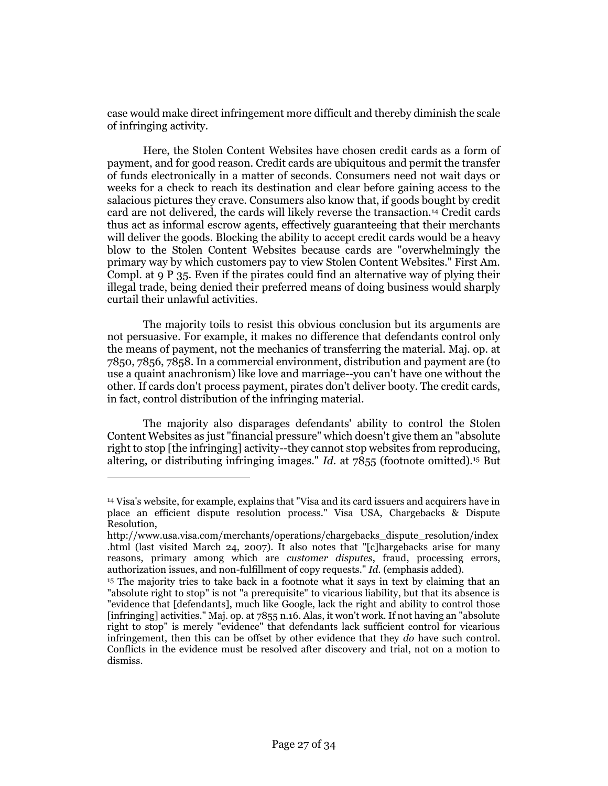case would make direct infringement more difficult and thereby diminish the scale of infringing activity.

Here, the Stolen Content Websites have chosen credit cards as a form of payment, and for good reason. Credit cards are ubiquitous and permit the transfer of funds electronically in a matter of seconds. Consumers need not wait days or weeks for a check to reach its destination and clear before gaining access to the salacious pictures they crave. Consumers also know that, if goods bought by credit card are not delivered, the cards will likely reverse the transaction.<sup>14</sup> Credit cards thus act as informal escrow agents, effectively guaranteeing that their merchants will deliver the goods. Blocking the ability to accept credit cards would be a heavy blow to the Stolen Content Websites because cards are "overwhelmingly the primary way by which customers pay to view Stolen Content Websites." First Am. Compl. at 9 P 35. Even if the pirates could find an alternative way of plying their illegal trade, being denied their preferred means of doing business would sharply curtail their unlawful activities.

The majority toils to resist this obvious conclusion but its arguments are not persuasive. For example, it makes no difference that defendants control only the means of payment, not the mechanics of transferring the material. Maj. op. at 7850, 7856, 7858. In a commercial environment, distribution and payment are (to use a quaint anachronism) like love and marriage--you can't have one without the other. If cards don't process payment, pirates don't deliver booty. The credit cards, in fact, control distribution of the infringing material.

The majority also disparages defendants' ability to control the Stolen Content Websites as just "financial pressure" which doesn't give them an "absolute right to stop [the infringing] activity--they cannot stop websites from reproducing, altering, or distributing infringing images." *Id.* at 7855 (footnote omitted).<sup>15</sup> But

<sup>14</sup> Visa's website, for example, explains that "Visa and its card issuers and acquirers have in place an efficient dispute resolution process." Visa USA, Chargebacks & Dispute Resolution,

http://www.usa.visa.com/merchants/operations/chargebacks\_dispute\_resolution/index .html (last visited March 24, 2007). It also notes that "[c]hargebacks arise for many reasons, primary among which are *customer disputes*, fraud, processing errors, authorization issues, and non-fulfillment of copy requests." *Id.* (emphasis added).

<sup>15</sup> The majority tries to take back in a footnote what it says in text by claiming that an "absolute right to stop" is not "a prerequisite" to vicarious liability, but that its absence is "evidence that [defendants], much like Google, lack the right and ability to control those [infringing] activities." Maj. op. at 7855 n.16. Alas, it won't work. If not having an "absolute right to stop" is merely "evidence" that defendants lack sufficient control for vicarious infringement, then this can be offset by other evidence that they *do* have such control. Conflicts in the evidence must be resolved after discovery and trial, not on a motion to dismiss.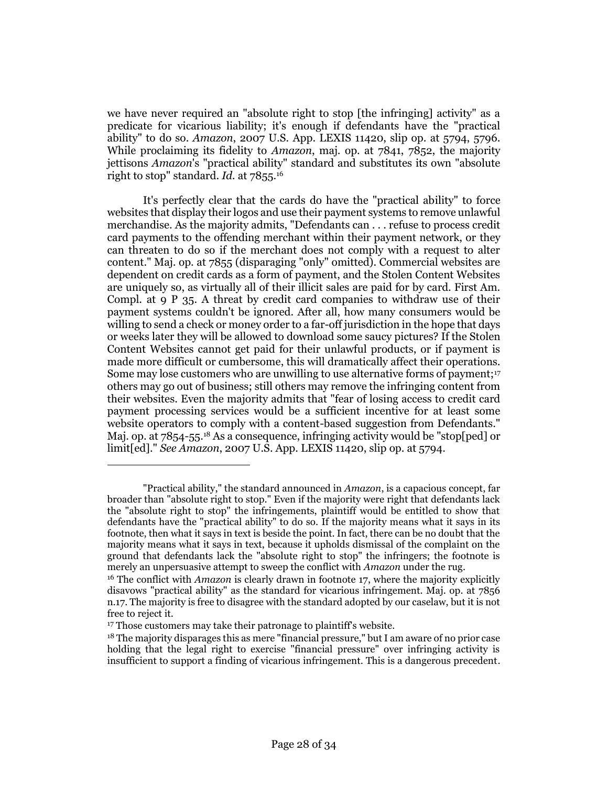we have never required an "absolute right to stop [the infringing] activity" as a predicate for vicarious liability; it's enough if defendants have the "practical ability" to do so. *Amazon*, 2007 U.S. App. LEXIS 11420, slip op. at 5794, 5796. While proclaiming its fidelity to *Amazon*, maj. op. at 7841, 7852, the majority jettisons *Amazon*'s "practical ability" standard and substitutes its own "absolute right to stop" standard. *Id.* at 7855.<sup>16</sup>

It's perfectly clear that the cards do have the "practical ability" to force websites that display their logos and use their payment systems to remove unlawful merchandise. As the majority admits, "Defendants can . . . refuse to process credit card payments to the offending merchant within their payment network, or they can threaten to do so if the merchant does not comply with a request to alter content." Maj. op. at 7855 (disparaging "only" omitted). Commercial websites are dependent on credit cards as a form of payment, and the Stolen Content Websites are uniquely so, as virtually all of their illicit sales are paid for by card. First Am. Compl. at 9 P 35. A threat by credit card companies to withdraw use of their payment systems couldn't be ignored. After all, how many consumers would be willing to send a check or money order to a far-off jurisdiction in the hope that days or weeks later they will be allowed to download some saucy pictures? If the Stolen Content Websites cannot get paid for their unlawful products, or if payment is made more difficult or cumbersome, this will dramatically affect their operations. Some may lose customers who are unwilling to use alternative forms of payment;<sup>17</sup> others may go out of business; still others may remove the infringing content from their websites. Even the majority admits that "fear of losing access to credit card payment processing services would be a sufficient incentive for at least some website operators to comply with a content-based suggestion from Defendants." Maj. op. at 7854-55.<sup>18</sup> As a consequence, infringing activity would be "stop[ped] or limit[ed]." *See Amazon*, 2007 U.S. App. LEXIS 11420, slip op. at 5794.

<sup>&</sup>quot;Practical ability," the standard announced in *Amazon*, is a capacious concept, far broader than "absolute right to stop." Even if the majority were right that defendants lack the "absolute right to stop" the infringements, plaintiff would be entitled to show that defendants have the "practical ability" to do so. If the majority means what it says in its footnote, then what it says in text is beside the point. In fact, there can be no doubt that the majority means what it says in text, because it upholds dismissal of the complaint on the ground that defendants lack the "absolute right to stop" the infringers; the footnote is merely an unpersuasive attempt to sweep the conflict with *Amazon* under the rug.

<sup>16</sup> The conflict with *Amazon* is clearly drawn in footnote 17, where the majority explicitly disavows "practical ability" as the standard for vicarious infringement. Maj. op. at 7856 n.17. The majority is free to disagree with the standard adopted by our caselaw, but it is not free to reject it.

<sup>&</sup>lt;sup>17</sup> Those customers may take their patronage to plaintiff's website.

 $18$  The majority disparages this as mere "financial pressure," but I am aware of no prior case holding that the legal right to exercise "financial pressure" over infringing activity is insufficient to support a finding of vicarious infringement. This is a dangerous precedent.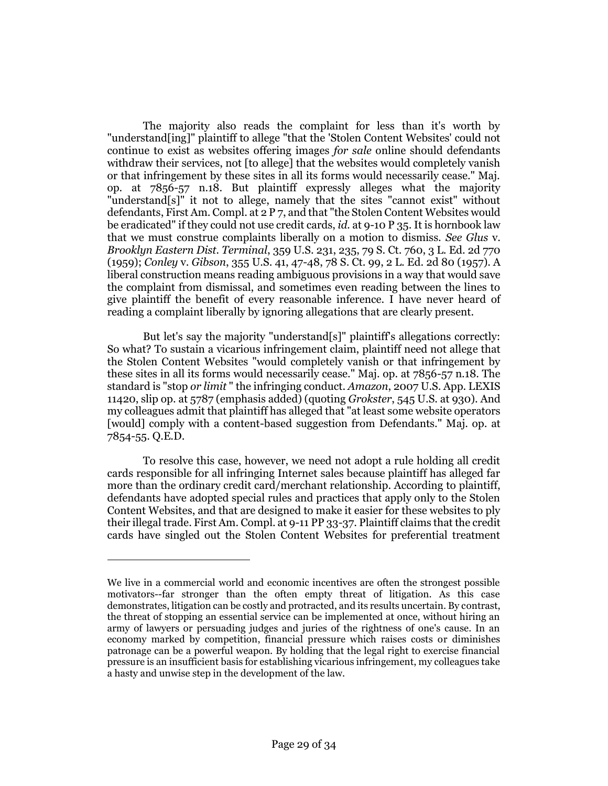The majority also reads the complaint for less than it's worth by "understand[ing]" plaintiff to allege "that the 'Stolen Content Websites' could not continue to exist as websites offering images *for sale* online should defendants withdraw their services, not [to allege] that the websites would completely vanish or that infringement by these sites in all its forms would necessarily cease." Maj. op. at 7856-57 n.18. But plaintiff expressly alleges what the majority "understand[s]" it not to allege, namely that the sites "cannot exist" without defendants, First Am. Compl. at 2 P 7, and that "the Stolen Content Websites would be eradicated" if they could not use credit cards, *id.* at 9-10 P 35. It is hornbook law that we must construe complaints liberally on a motion to dismiss. *See Glus* v. *Brooklyn Eastern Dist. Terminal*, 359 U.S. 231, 235, 79 S. Ct. 760, 3 L. Ed. 2d 770 (1959); *Conley* v. *Gibson*, 355 U.S. 41, 47-48, 78 S. Ct. 99, 2 L. Ed. 2d 80 (1957). A liberal construction means reading ambiguous provisions in a way that would save the complaint from dismissal, and sometimes even reading between the lines to give plaintiff the benefit of every reasonable inference. I have never heard of reading a complaint liberally by ignoring allegations that are clearly present.

But let's say the majority "understand[s]" plaintiff's allegations correctly: So what? To sustain a vicarious infringement claim, plaintiff need not allege that the Stolen Content Websites "would completely vanish or that infringement by these sites in all its forms would necessarily cease." Maj. op. at 7856-57 n.18. The standard is "stop *or limit* " the infringing conduct. *Amazon*, 2007 U.S. App. LEXIS 11420, slip op. at 5787 (emphasis added) (quoting *Grokster*, 545 U.S. at 930). And my colleagues admit that plaintiff has alleged that "at least some website operators [would] comply with a content-based suggestion from Defendants." Maj. op. at 7854-55. Q.E.D.

To resolve this case, however, we need not adopt a rule holding all credit cards responsible for all infringing Internet sales because plaintiff has alleged far more than the ordinary credit card/merchant relationship. According to plaintiff, defendants have adopted special rules and practices that apply only to the Stolen Content Websites, and that are designed to make it easier for these websites to ply their illegal trade. First Am. Compl. at 9-11 PP 33-37. Plaintiff claims that the credit cards have singled out the Stolen Content Websites for preferential treatment

We live in a commercial world and economic incentives are often the strongest possible motivators--far stronger than the often empty threat of litigation. As this case demonstrates, litigation can be costly and protracted, and its results uncertain. By contrast, the threat of stopping an essential service can be implemented at once, without hiring an army of lawyers or persuading judges and juries of the rightness of one's cause. In an economy marked by competition, financial pressure which raises costs or diminishes patronage can be a powerful weapon. By holding that the legal right to exercise financial pressure is an insufficient basis for establishing vicarious infringement, my colleagues take a hasty and unwise step in the development of the law.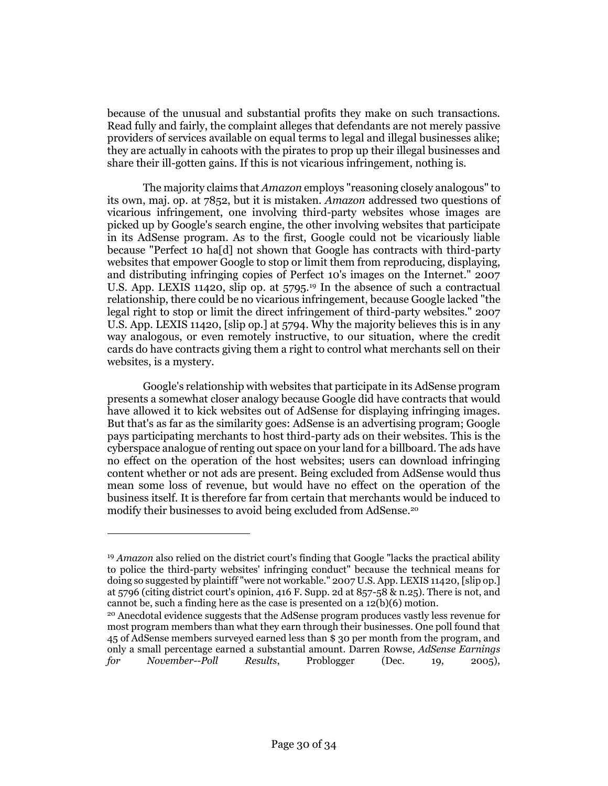because of the unusual and substantial profits they make on such transactions. Read fully and fairly, the complaint alleges that defendants are not merely passive providers of services available on equal terms to legal and illegal businesses alike; they are actually in cahoots with the pirates to prop up their illegal businesses and share their ill-gotten gains. If this is not vicarious infringement, nothing is.

The majority claims that *Amazon* employs "reasoning closely analogous" to its own, maj. op. at 7852, but it is mistaken. *Amazon* addressed two questions of vicarious infringement, one involving third-party websites whose images are picked up by Google's search engine, the other involving websites that participate in its AdSense program. As to the first, Google could not be vicariously liable because "Perfect 10 ha[d] not shown that Google has contracts with third-party websites that empower Google to stop or limit them from reproducing, displaying, and distributing infringing copies of Perfect 10's images on the Internet." 2007 U.S. App. LEXIS 11420, slip op. at 5795.<sup>19</sup> In the absence of such a contractual relationship, there could be no vicarious infringement, because Google lacked "the legal right to stop or limit the direct infringement of third-party websites." 2007 U.S. App. LEXIS 11420, [slip op.] at 5794. Why the majority believes this is in any way analogous, or even remotely instructive, to our situation, where the credit cards do have contracts giving them a right to control what merchants sell on their websites, is a mystery.

Google's relationship with websites that participate in its AdSense program presents a somewhat closer analogy because Google did have contracts that would have allowed it to kick websites out of AdSense for displaying infringing images. But that's as far as the similarity goes: AdSense is an advertising program; Google pays participating merchants to host third-party ads on their websites. This is the cyberspace analogue of renting out space on your land for a billboard. The ads have no effect on the operation of the host websites; users can download infringing content whether or not ads are present. Being excluded from AdSense would thus mean some loss of revenue, but would have no effect on the operation of the business itself. It is therefore far from certain that merchants would be induced to modify their businesses to avoid being excluded from AdSense.<sup>20</sup>

<sup>19</sup> *Amazon* also relied on the district court's finding that Google "lacks the practical ability to police the third-party websites' infringing conduct" because the technical means for doing so suggested by plaintiff "were not workable." 2007 U.S. App. LEXIS 11420, [slip op.] at 5796 (citing district court's opinion, 416 F. Supp. 2d at 857-58 & n.25). There is not, and cannot be, such a finding here as the case is presented on a 12(b)(6) motion.

<sup>20</sup> Anecdotal evidence suggests that the AdSense program produces vastly less revenue for most program members than what they earn through their businesses. One poll found that 45 of AdSense members surveyed earned less than \$ 30 per month from the program, and only a small percentage earned a substantial amount. Darren Rowse, *AdSense Earnings for November--Poll Results*, Problogger (Dec. 19, 2005),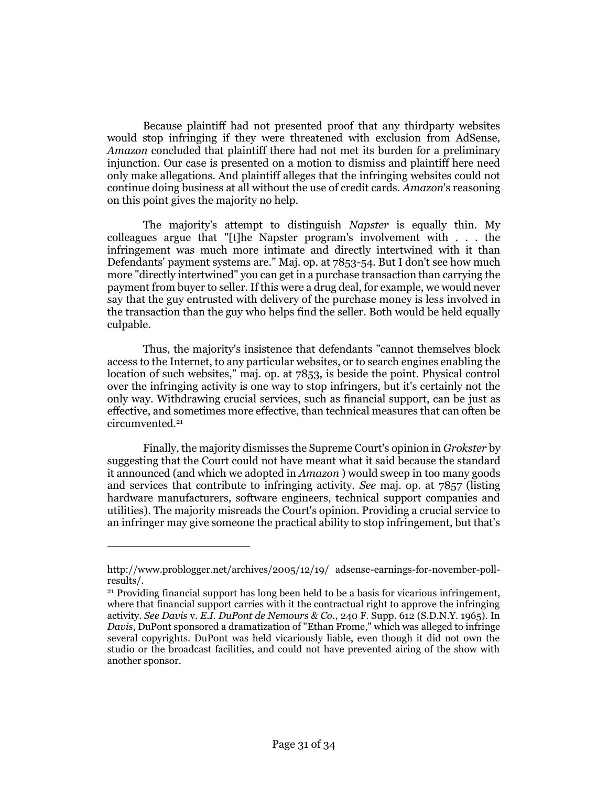Because plaintiff had not presented proof that any thirdparty websites would stop infringing if they were threatened with exclusion from AdSense, *Amazon* concluded that plaintiff there had not met its burden for a preliminary injunction. Our case is presented on a motion to dismiss and plaintiff here need only make allegations. And plaintiff alleges that the infringing websites could not continue doing business at all without the use of credit cards. *Amazon*'s reasoning on this point gives the majority no help.

The majority's attempt to distinguish *Napster* is equally thin. My colleagues argue that "[t]he Napster program's involvement with . . . the infringement was much more intimate and directly intertwined with it than Defendants' payment systems are." Maj. op. at 7853-54. But I don't see how much more "directly intertwined" you can get in a purchase transaction than carrying the payment from buyer to seller. If this were a drug deal, for example, we would never say that the guy entrusted with delivery of the purchase money is less involved in the transaction than the guy who helps find the seller. Both would be held equally culpable.

Thus, the majority's insistence that defendants "cannot themselves block access to the Internet, to any particular websites, or to search engines enabling the location of such websites," maj. op. at 7853, is beside the point. Physical control over the infringing activity is one way to stop infringers, but it's certainly not the only way. Withdrawing crucial services, such as financial support, can be just as effective, and sometimes more effective, than technical measures that can often be circumvented.<sup>21</sup>

Finally, the majority dismisses the Supreme Court's opinion in *Grokster* by suggesting that the Court could not have meant what it said because the standard it announced (and which we adopted in *Amazon* ) would sweep in too many goods and services that contribute to infringing activity. *See* maj. op. at 7857 (listing hardware manufacturers, software engineers, technical support companies and utilities). The majority misreads the Court's opinion. Providing a crucial service to an infringer may give someone the practical ability to stop infringement, but that's

http://www.problogger.net/archives/2005/12/19/ adsense-earnings-for-november-pollresults/.

<sup>21</sup> Providing financial support has long been held to be a basis for vicarious infringement, where that financial support carries with it the contractual right to approve the infringing activity. *See Davis* v. *E.I. DuPont de Nemours & Co.*, 240 F. Supp. 612 (S.D.N.Y. 1965). In *Davis*, DuPont sponsored a dramatization of "Ethan Frome," which was alleged to infringe several copyrights. DuPont was held vicariously liable, even though it did not own the studio or the broadcast facilities, and could not have prevented airing of the show with another sponsor.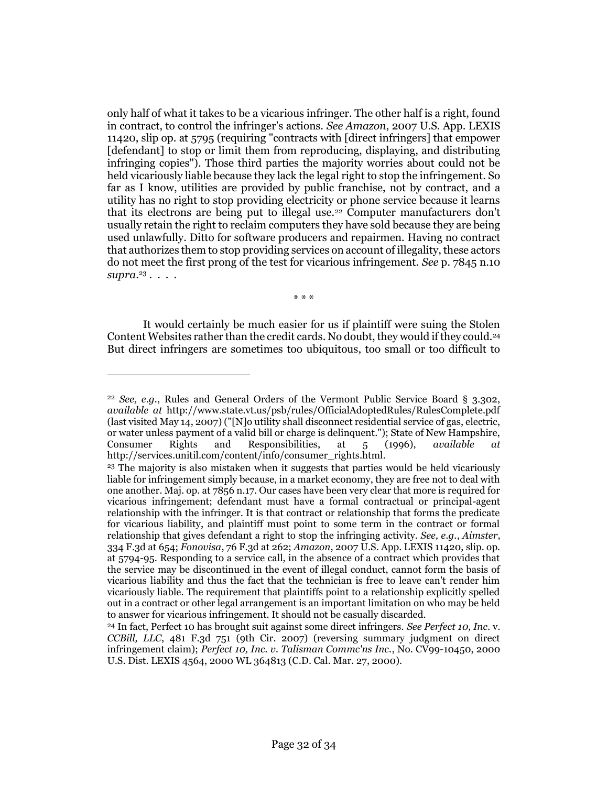only half of what it takes to be a vicarious infringer. The other half is a right, found in contract, to control the infringer's actions. *See Amazon*, 2007 U.S. App. LEXIS 11420, slip op. at 5795 (requiring "contracts with [direct infringers] that empower [defendant] to stop or limit them from reproducing, displaying, and distributing infringing copies"). Those third parties the majority worries about could not be held vicariously liable because they lack the legal right to stop the infringement. So far as I know, utilities are provided by public franchise, not by contract, and a utility has no right to stop providing electricity or phone service because it learns that its electrons are being put to illegal use.<sup>22</sup> Computer manufacturers don't usually retain the right to reclaim computers they have sold because they are being used unlawfully. Ditto for software producers and repairmen. Having no contract that authorizes them to stop providing services on account of illegality, these actors do not meet the first prong of the test for vicarious infringement. *See* p. 7845 n.10 *supra*. 23 . . . .

\* \* \*

It would certainly be much easier for us if plaintiff were suing the Stolen Content Websites rather than the credit cards. No doubt, they would if they could.<sup>24</sup> But direct infringers are sometimes too ubiquitous, too small or too difficult to

<sup>22</sup> *See, e.g.*, Rules and General Orders of the Vermont Public Service Board § 3.302, *available at* http://www.state.vt.us/psb/rules/OfficialAdoptedRules/RulesComplete.pdf (last visited May 14, 2007) ("[N]o utility shall disconnect residential service of gas, electric, or water unless payment of a valid bill or charge is delinquent."); State of New Hampshire, Consumer Rights and Responsibilities, at 5 (1996), *available at* http://services.unitil.com/content/info/consumer\_rights.html.

<sup>23</sup> The majority is also mistaken when it suggests that parties would be held vicariously liable for infringement simply because, in a market economy, they are free not to deal with one another. Maj. op. at 7856 n.17. Our cases have been very clear that more is required for vicarious infringement; defendant must have a formal contractual or principal-agent relationship with the infringer. It is that contract or relationship that forms the predicate for vicarious liability, and plaintiff must point to some term in the contract or formal relationship that gives defendant a right to stop the infringing activity. *See, e.g.*, *Aimster*, 334 F.3d at 654; *Fonovisa*, 76 F.3d at 262; *Amazon*, 2007 U.S. App. LEXIS 11420, slip. op. at 5794-95. Responding to a service call, in the absence of a contract which provides that the service may be discontinued in the event of illegal conduct, cannot form the basis of vicarious liability and thus the fact that the technician is free to leave can't render him vicariously liable. The requirement that plaintiffs point to a relationship explicitly spelled out in a contract or other legal arrangement is an important limitation on who may be held to answer for vicarious infringement. It should not be casually discarded.

<sup>24</sup> In fact, Perfect 10 has brought suit against some direct infringers. *See Perfect 10, Inc.* v. *CCBill, LLC*, 481 F.3d 751 (9th Cir. 2007) (reversing summary judgment on direct infringement claim); *Perfect 10, Inc. v. Talisman Commc'ns Inc.*, No. CV99-10450, 2000 U.S. Dist. LEXIS 4564, 2000 WL 364813 (C.D. Cal. Mar. 27, 2000).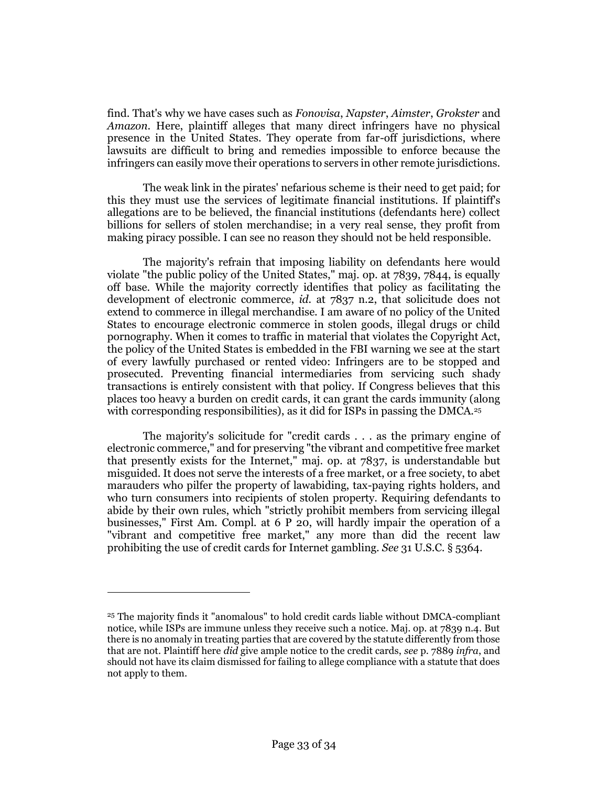find. That's why we have cases such as *Fonovisa*, *Napster*, *Aimster*, *Grokster* and *Amazon*. Here, plaintiff alleges that many direct infringers have no physical presence in the United States. They operate from far-off jurisdictions, where lawsuits are difficult to bring and remedies impossible to enforce because the infringers can easily move their operations to servers in other remote jurisdictions.

The weak link in the pirates' nefarious scheme is their need to get paid; for this they must use the services of legitimate financial institutions. If plaintiff's allegations are to be believed, the financial institutions (defendants here) collect billions for sellers of stolen merchandise; in a very real sense, they profit from making piracy possible. I can see no reason they should not be held responsible.

The majority's refrain that imposing liability on defendants here would violate "the public policy of the United States," maj. op. at 7839, 7844, is equally off base. While the majority correctly identifies that policy as facilitating the development of electronic commerce, *id.* at 7837 n.2, that solicitude does not extend to commerce in illegal merchandise. I am aware of no policy of the United States to encourage electronic commerce in stolen goods, illegal drugs or child pornography. When it comes to traffic in material that violates the Copyright Act, the policy of the United States is embedded in the FBI warning we see at the start of every lawfully purchased or rented video: Infringers are to be stopped and prosecuted. Preventing financial intermediaries from servicing such shady transactions is entirely consistent with that policy. If Congress believes that this places too heavy a burden on credit cards, it can grant the cards immunity (along with corresponding responsibilities), as it did for ISPs in passing the DMCA.<sup>25</sup>

The majority's solicitude for "credit cards . . . as the primary engine of electronic commerce," and for preserving "the vibrant and competitive free market that presently exists for the Internet," maj. op. at 7837, is understandable but misguided. It does not serve the interests of a free market, or a free society, to abet marauders who pilfer the property of lawabiding, tax-paying rights holders, and who turn consumers into recipients of stolen property. Requiring defendants to abide by their own rules, which "strictly prohibit members from servicing illegal businesses," First Am. Compl. at 6 P 20, will hardly impair the operation of a "vibrant and competitive free market," any more than did the recent law prohibiting the use of credit cards for Internet gambling. *See* 31 U.S.C. § 5364.

<sup>25</sup> The majority finds it "anomalous" to hold credit cards liable without DMCA-compliant notice, while ISPs are immune unless they receive such a notice. Maj. op. at 7839 n.4. But there is no anomaly in treating parties that are covered by the statute differently from those that are not. Plaintiff here *did* give ample notice to the credit cards, *see* p. 7889 *infra*, and should not have its claim dismissed for failing to allege compliance with a statute that does not apply to them.